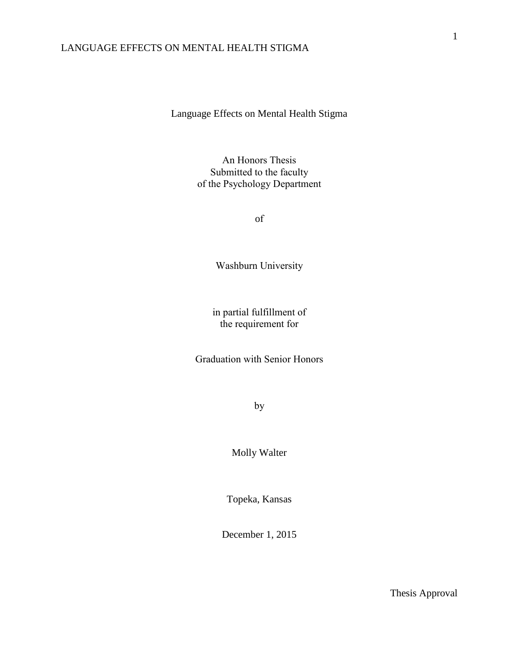Language Effects on Mental Health Stigma

An Honors Thesis Submitted to the faculty of the Psychology Department

of

Washburn University

in partial fulfillment of the requirement for

Graduation with Senior Honors

by

Molly Walter

Topeka, Kansas

December 1, 2015

Thesis Approval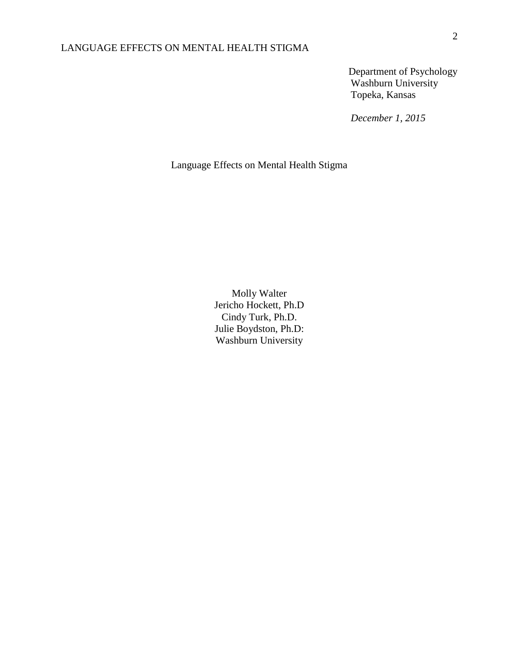Department of Psychology Washburn University Topeka, Kansas

*December 1, 2015*

Language Effects on Mental Health Stigma

Molly Walter Jericho Hockett, Ph.D Cindy Turk, Ph.D. Julie Boydston, Ph.D: Washburn University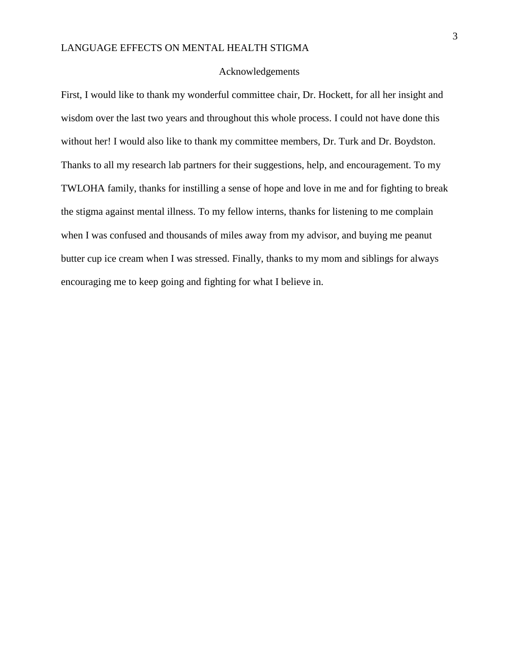#### Acknowledgements

First, I would like to thank my wonderful committee chair, Dr. Hockett, for all her insight and wisdom over the last two years and throughout this whole process. I could not have done this without her! I would also like to thank my committee members, Dr. Turk and Dr. Boydston. Thanks to all my research lab partners for their suggestions, help, and encouragement. To my TWLOHA family, thanks for instilling a sense of hope and love in me and for fighting to break the stigma against mental illness. To my fellow interns, thanks for listening to me complain when I was confused and thousands of miles away from my advisor, and buying me peanut butter cup ice cream when I was stressed. Finally, thanks to my mom and siblings for always encouraging me to keep going and fighting for what I believe in.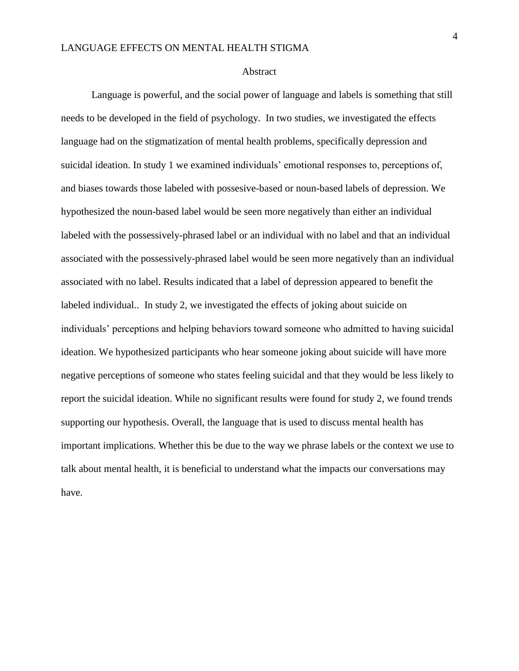#### Abstract

Language is powerful, and the social power of language and labels is something that still needs to be developed in the field of psychology. In two studies, we investigated the effects language had on the stigmatization of mental health problems, specifically depression and suicidal ideation. In study 1 we examined individuals' emotional responses to, perceptions of, and biases towards those labeled with possesive-based or noun-based labels of depression. We hypothesized the noun-based label would be seen more negatively than either an individual labeled with the possessively-phrased label or an individual with no label and that an individual associated with the possessively-phrased label would be seen more negatively than an individual associated with no label. Results indicated that a label of depression appeared to benefit the labeled individual.. In study 2, we investigated the effects of joking about suicide on individuals' perceptions and helping behaviors toward someone who admitted to having suicidal ideation. We hypothesized participants who hear someone joking about suicide will have more negative perceptions of someone who states feeling suicidal and that they would be less likely to report the suicidal ideation. While no significant results were found for study 2, we found trends supporting our hypothesis. Overall, the language that is used to discuss mental health has important implications. Whether this be due to the way we phrase labels or the context we use to talk about mental health, it is beneficial to understand what the impacts our conversations may have.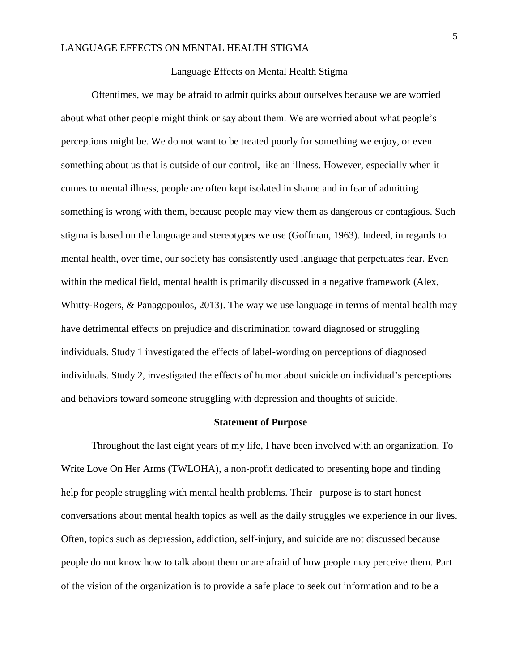#### Language Effects on Mental Health Stigma

Oftentimes, we may be afraid to admit quirks about ourselves because we are worried about what other people might think or say about them. We are worried about what people's perceptions might be. We do not want to be treated poorly for something we enjoy, or even something about us that is outside of our control, like an illness. However, especially when it comes to mental illness, people are often kept isolated in shame and in fear of admitting something is wrong with them, because people may view them as dangerous or contagious. Such stigma is based on the language and stereotypes we use (Goffman, 1963). Indeed, in regards to mental health, over time, our society has consistently used language that perpetuates fear. Even within the medical field, mental health is primarily discussed in a negative framework (Alex, Whitty-Rogers, & Panagopoulos, 2013). The way we use language in terms of mental health may have detrimental effects on prejudice and discrimination toward diagnosed or struggling individuals. Study 1 investigated the effects of label-wording on perceptions of diagnosed individuals. Study 2, investigated the effects of humor about suicide on individual's perceptions and behaviors toward someone struggling with depression and thoughts of suicide.

#### **Statement of Purpose**

Throughout the last eight years of my life, I have been involved with an organization, To Write Love On Her Arms (TWLOHA), a non-profit dedicated to presenting hope and finding help for people struggling with mental health problems. Their purpose is to start honest conversations about mental health topics as well as the daily struggles we experience in our lives. Often, topics such as depression, addiction, self-injury, and suicide are not discussed because people do not know how to talk about them or are afraid of how people may perceive them. Part of the vision of the organization is to provide a safe place to seek out information and to be a

5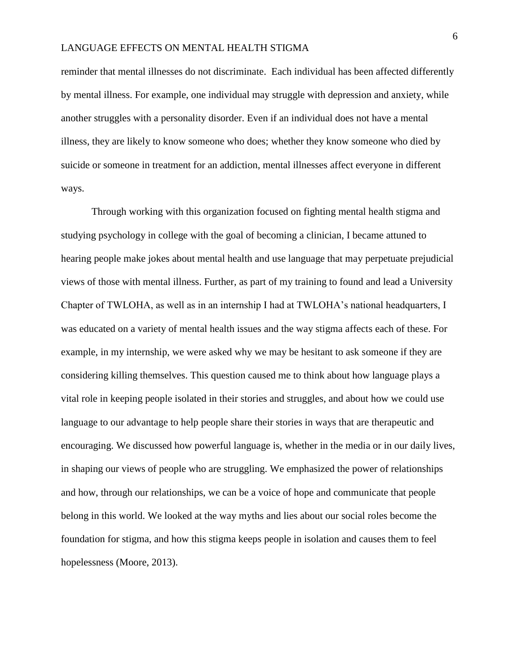reminder that mental illnesses do not discriminate. Each individual has been affected differently by mental illness. For example, one individual may struggle with depression and anxiety, while another struggles with a personality disorder. Even if an individual does not have a mental illness, they are likely to know someone who does; whether they know someone who died by suicide or someone in treatment for an addiction, mental illnesses affect everyone in different ways.

Through working with this organization focused on fighting mental health stigma and studying psychology in college with the goal of becoming a clinician, I became attuned to hearing people make jokes about mental health and use language that may perpetuate prejudicial views of those with mental illness. Further, as part of my training to found and lead a University Chapter of TWLOHA, as well as in an internship I had at TWLOHA's national headquarters, I was educated on a variety of mental health issues and the way stigma affects each of these. For example, in my internship, we were asked why we may be hesitant to ask someone if they are considering killing themselves. This question caused me to think about how language plays a vital role in keeping people isolated in their stories and struggles, and about how we could use language to our advantage to help people share their stories in ways that are therapeutic and encouraging. We discussed how powerful language is, whether in the media or in our daily lives, in shaping our views of people who are struggling. We emphasized the power of relationships and how, through our relationships, we can be a voice of hope and communicate that people belong in this world. We looked at the way myths and lies about our social roles become the foundation for stigma, and how this stigma keeps people in isolation and causes them to feel hopelessness (Moore, 2013).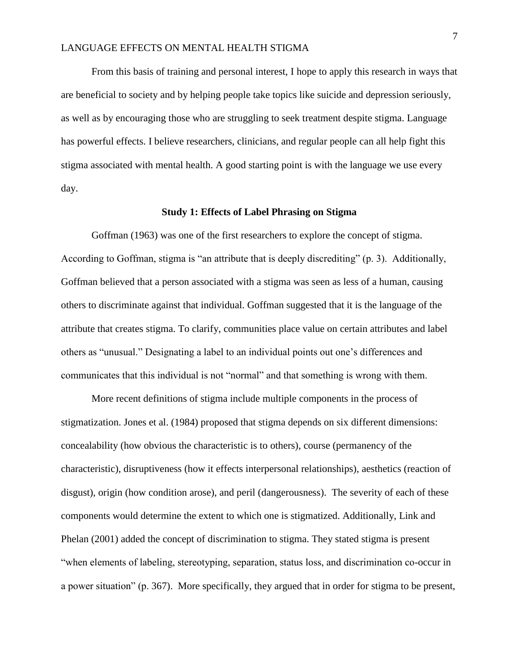From this basis of training and personal interest, I hope to apply this research in ways that are beneficial to society and by helping people take topics like suicide and depression seriously, as well as by encouraging those who are struggling to seek treatment despite stigma. Language has powerful effects. I believe researchers, clinicians, and regular people can all help fight this stigma associated with mental health. A good starting point is with the language we use every day.

#### **Study 1: Effects of Label Phrasing on Stigma**

Goffman (1963) was one of the first researchers to explore the concept of stigma. According to Goffman, stigma is "an attribute that is deeply discrediting" (p. 3). Additionally, Goffman believed that a person associated with a stigma was seen as less of a human, causing others to discriminate against that individual. Goffman suggested that it is the language of the attribute that creates stigma. To clarify, communities place value on certain attributes and label others as "unusual." Designating a label to an individual points out one's differences and communicates that this individual is not "normal" and that something is wrong with them.

More recent definitions of stigma include multiple components in the process of stigmatization. Jones et al. (1984) proposed that stigma depends on six different dimensions: concealability (how obvious the characteristic is to others), course (permanency of the characteristic), disruptiveness (how it effects interpersonal relationships), aesthetics (reaction of disgust), origin (how condition arose), and peril (dangerousness). The severity of each of these components would determine the extent to which one is stigmatized. Additionally, Link and Phelan (2001) added the concept of discrimination to stigma. They stated stigma is present "when elements of labeling, stereotyping, separation, status loss, and discrimination co-occur in a power situation" (p. 367). More specifically, they argued that in order for stigma to be present,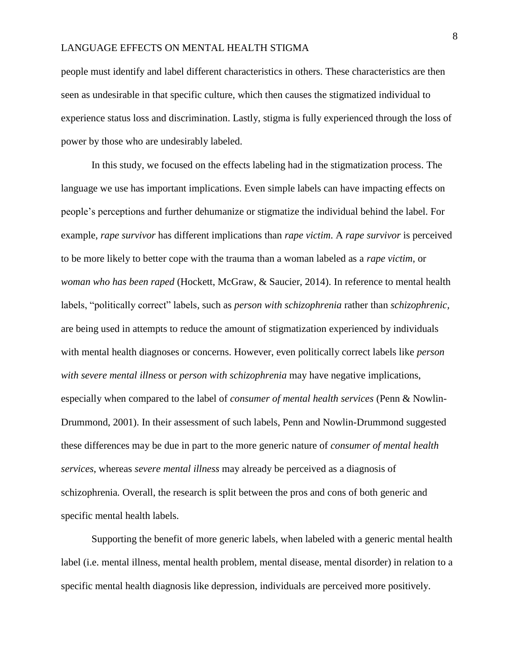people must identify and label different characteristics in others. These characteristics are then seen as undesirable in that specific culture, which then causes the stigmatized individual to experience status loss and discrimination. Lastly, stigma is fully experienced through the loss of power by those who are undesirably labeled.

In this study, we focused on the effects labeling had in the stigmatization process. The language we use has important implications. Even simple labels can have impacting effects on people's perceptions and further dehumanize or stigmatize the individual behind the label. For example, *rape survivor* has different implications than *rape victim*. A *rape survivor* is perceived to be more likely to better cope with the trauma than a woman labeled as a *rape victim*, or *woman who has been raped* (Hockett, McGraw, & Saucier, 2014). In reference to mental health labels, "politically correct" labels, such as *person with schizophrenia* rather than *schizophrenic,* are being used in attempts to reduce the amount of stigmatization experienced by individuals with mental health diagnoses or concerns. However, even politically correct labels like *person with severe mental illness* or *person with schizophrenia* may have negative implications, especially when compared to the label of *consumer of mental health services* (Penn & Nowlin-Drummond, 2001). In their assessment of such labels, Penn and Nowlin-Drummond suggested these differences may be due in part to the more generic nature of *consumer of mental health services*, whereas *severe mental illness* may already be perceived as a diagnosis of schizophrenia*.* Overall, the research is split between the pros and cons of both generic and specific mental health labels.

Supporting the benefit of more generic labels, when labeled with a generic mental health label (i.e. mental illness, mental health problem, mental disease, mental disorder) in relation to a specific mental health diagnosis like depression, individuals are perceived more positively.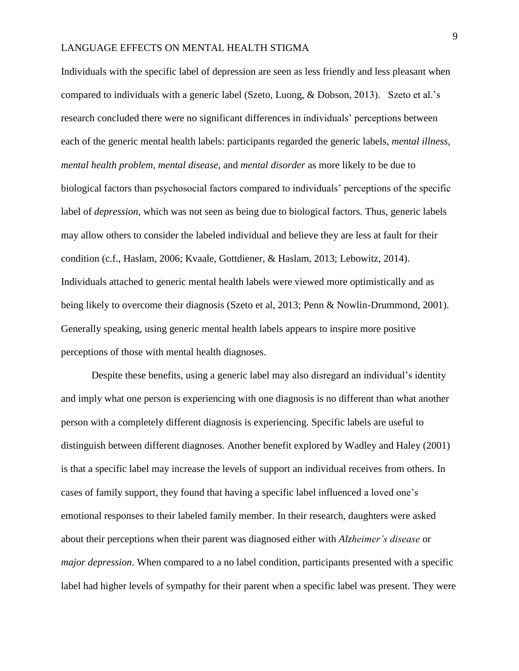Individuals with the specific label of depression are seen as less friendly and less pleasant when compared to individuals with a generic label (Szeto, Luong, & Dobson, 2013). Szeto et al.'s research concluded there were no significant differences in individuals' perceptions between each of the generic mental health labels: participants regarded the generic labels, *mental illness, mental health problem, mental disease,* and *mental disorder* as more likely to be due to biological factors than psychosocial factors compared to individuals' perceptions of the specific label of *depression,* which was not seen as being due to biological factors. Thus, generic labels may allow others to consider the labeled individual and believe they are less at fault for their condition (c.f., Haslam, 2006; Kvaale, Gottdiener, & Haslam, 2013; Lebowitz, 2014). Individuals attached to generic mental health labels were viewed more optimistically and as being likely to overcome their diagnosis (Szeto et al, 2013; Penn & Nowlin-Drummond, 2001). Generally speaking, using generic mental health labels appears to inspire more positive perceptions of those with mental health diagnoses.

Despite these benefits, using a generic label may also disregard an individual's identity and imply what one person is experiencing with one diagnosis is no different than what another person with a completely different diagnosis is experiencing. Specific labels are useful to distinguish between different diagnoses. Another benefit explored by Wadley and Haley (2001) is that a specific label may increase the levels of support an individual receives from others. In cases of family support, they found that having a specific label influenced a loved one's emotional responses to their labeled family member. In their research, daughters were asked about their perceptions when their parent was diagnosed either with *Alzheimer's disease* or *major depression*. When compared to a no label condition, participants presented with a specific label had higher levels of sympathy for their parent when a specific label was present. They were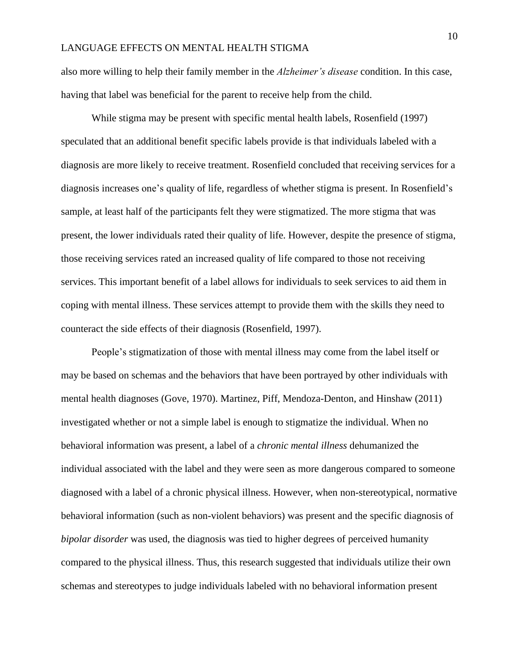also more willing to help their family member in the *Alzheimer's disease* condition. In this case, having that label was beneficial for the parent to receive help from the child.

While stigma may be present with specific mental health labels, Rosenfield (1997) speculated that an additional benefit specific labels provide is that individuals labeled with a diagnosis are more likely to receive treatment. Rosenfield concluded that receiving services for a diagnosis increases one's quality of life, regardless of whether stigma is present. In Rosenfield's sample, at least half of the participants felt they were stigmatized. The more stigma that was present, the lower individuals rated their quality of life. However, despite the presence of stigma, those receiving services rated an increased quality of life compared to those not receiving services. This important benefit of a label allows for individuals to seek services to aid them in coping with mental illness. These services attempt to provide them with the skills they need to counteract the side effects of their diagnosis (Rosenfield, 1997).

People's stigmatization of those with mental illness may come from the label itself or may be based on schemas and the behaviors that have been portrayed by other individuals with mental health diagnoses (Gove, 1970). Martinez, Piff, Mendoza-Denton, and Hinshaw (2011) investigated whether or not a simple label is enough to stigmatize the individual. When no behavioral information was present, a label of a *chronic mental illness* dehumanized the individual associated with the label and they were seen as more dangerous compared to someone diagnosed with a label of a chronic physical illness. However, when non-stereotypical, normative behavioral information (such as non-violent behaviors) was present and the specific diagnosis of *bipolar disorder* was used, the diagnosis was tied to higher degrees of perceived humanity compared to the physical illness. Thus, this research suggested that individuals utilize their own schemas and stereotypes to judge individuals labeled with no behavioral information present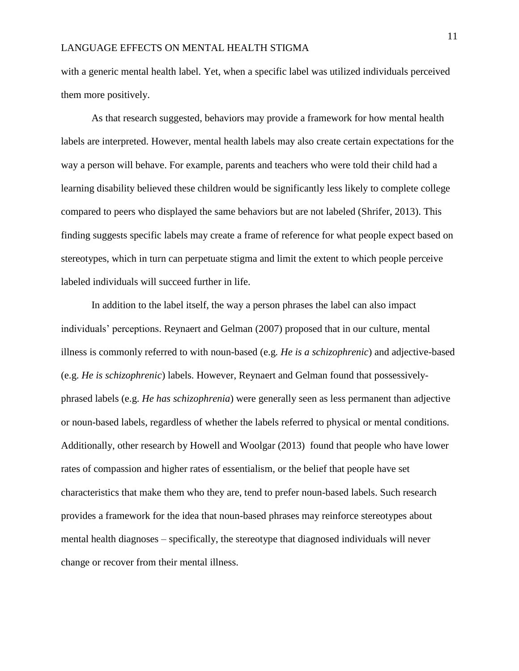with a generic mental health label. Yet, when a specific label was utilized individuals perceived them more positively.

As that research suggested, behaviors may provide a framework for how mental health labels are interpreted. However, mental health labels may also create certain expectations for the way a person will behave. For example, parents and teachers who were told their child had a learning disability believed these children would be significantly less likely to complete college compared to peers who displayed the same behaviors but are not labeled (Shrifer, 2013). This finding suggests specific labels may create a frame of reference for what people expect based on stereotypes, which in turn can perpetuate stigma and limit the extent to which people perceive labeled individuals will succeed further in life.

In addition to the label itself, the way a person phrases the label can also impact individuals' perceptions. Reynaert and Gelman (2007) proposed that in our culture, mental illness is commonly referred to with noun-based (e.g*. He is a schizophrenic*) and adjective-based (e.g. *He is schizophrenic*) labels. However, Reynaert and Gelman found that possessivelyphrased labels (e.g. *He has schizophrenia*) were generally seen as less permanent than adjective or noun-based labels, regardless of whether the labels referred to physical or mental conditions. Additionally, other research by Howell and Woolgar (2013) found that people who have lower rates of compassion and higher rates of essentialism, or the belief that people have set characteristics that make them who they are, tend to prefer noun-based labels. Such research provides a framework for the idea that noun-based phrases may reinforce stereotypes about mental health diagnoses – specifically, the stereotype that diagnosed individuals will never change or recover from their mental illness.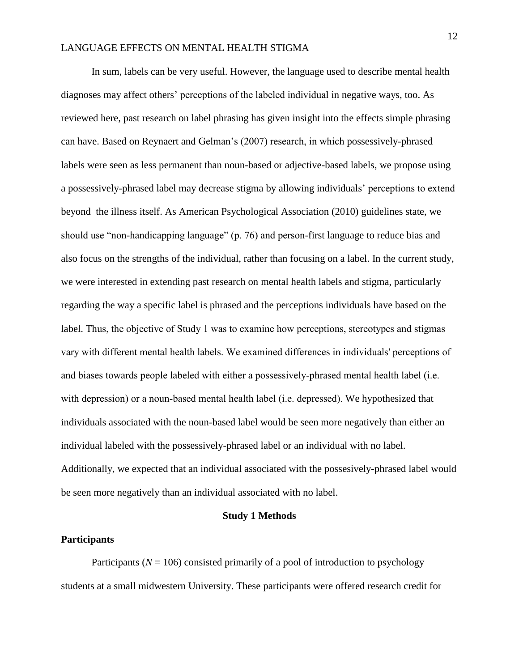In sum, labels can be very useful. However, the language used to describe mental health diagnoses may affect others' perceptions of the labeled individual in negative ways, too. As reviewed here, past research on label phrasing has given insight into the effects simple phrasing can have. Based on Reynaert and Gelman's (2007) research, in which possessively-phrased labels were seen as less permanent than noun-based or adjective-based labels, we propose using a possessively-phrased label may decrease stigma by allowing individuals' perceptions to extend beyond the illness itself. As American Psychological Association (2010) guidelines state, we should use "non-handicapping language" (p. 76) and person-first language to reduce bias and also focus on the strengths of the individual, rather than focusing on a label. In the current study, we were interested in extending past research on mental health labels and stigma, particularly regarding the way a specific label is phrased and the perceptions individuals have based on the label. Thus, the objective of Study 1 was to examine how perceptions, stereotypes and stigmas vary with different mental health labels. We examined differences in individuals' perceptions of and biases towards people labeled with either a possessively-phrased mental health label (i.e. with depression) or a noun-based mental health label (i.e. depressed). We hypothesized that individuals associated with the noun-based label would be seen more negatively than either an individual labeled with the possessively-phrased label or an individual with no label. Additionally, we expected that an individual associated with the possesively-phrased label would be seen more negatively than an individual associated with no label.

#### **Study 1 Methods**

#### **Participants**

Participants ( $N = 106$ ) consisted primarily of a pool of introduction to psychology students at a small midwestern University. These participants were offered research credit for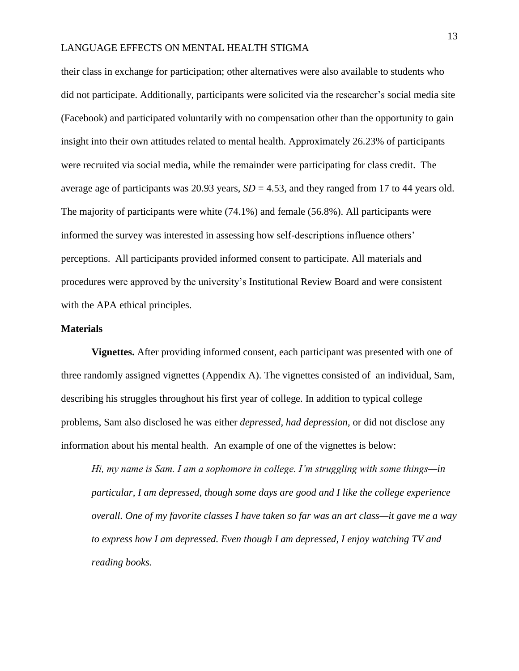their class in exchange for participation; other alternatives were also available to students who did not participate. Additionally, participants were solicited via the researcher's social media site (Facebook) and participated voluntarily with no compensation other than the opportunity to gain insight into their own attitudes related to mental health. Approximately 26.23% of participants were recruited via social media, while the remainder were participating for class credit. The average age of participants was 20.93 years,  $SD = 4.53$ , and they ranged from 17 to 44 years old. The majority of participants were white (74.1%) and female (56.8%). All participants were informed the survey was interested in assessing how self-descriptions influence others' perceptions. All participants provided informed consent to participate. All materials and procedures were approved by the university's Institutional Review Board and were consistent with the APA ethical principles.

#### **Materials**

**Vignettes.** After providing informed consent, each participant was presented with one of three randomly assigned vignettes (Appendix A). The vignettes consisted of an individual, Sam, describing his struggles throughout his first year of college. In addition to typical college problems, Sam also disclosed he was either *depressed, had depression,* or did not disclose any information about his mental health. An example of one of the vignettes is below:

*Hi, my name is Sam. I am a sophomore in college. I'm struggling with some things—in particular, I am depressed, though some days are good and I like the college experience overall. One of my favorite classes I have taken so far was an art class—it gave me a way to express how I am depressed. Even though I am depressed, I enjoy watching TV and reading books.*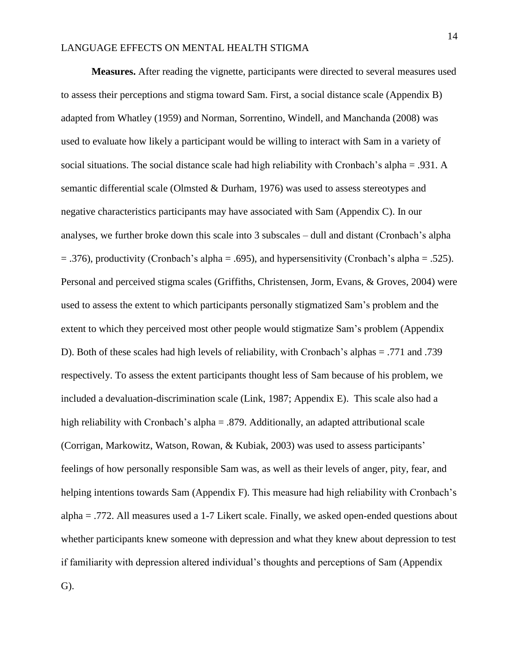**Measures.** After reading the vignette, participants were directed to several measures used to assess their perceptions and stigma toward Sam. First, a social distance scale (Appendix B) adapted from Whatley (1959) and Norman, Sorrentino, Windell, and Manchanda (2008) was used to evaluate how likely a participant would be willing to interact with Sam in a variety of social situations. The social distance scale had high reliability with Cronbach's alpha = .931. A semantic differential scale (Olmsted & Durham, 1976) was used to assess stereotypes and negative characteristics participants may have associated with Sam (Appendix C). In our analyses, we further broke down this scale into 3 subscales – dull and distant (Cronbach's alpha  $= .376$ ), productivity (Cronbach's alpha  $= .695$ ), and hypersensitivity (Cronbach's alpha  $= .525$ ). Personal and perceived stigma scales (Griffiths, Christensen, Jorm, Evans, & Groves, 2004) were used to assess the extent to which participants personally stigmatized Sam's problem and the extent to which they perceived most other people would stigmatize Sam's problem (Appendix D). Both of these scales had high levels of reliability, with Cronbach's alphas = .771 and .739 respectively. To assess the extent participants thought less of Sam because of his problem, we included a devaluation-discrimination scale (Link, 1987; Appendix E). This scale also had a high reliability with Cronbach's alpha = .879. Additionally, an adapted attributional scale (Corrigan, Markowitz, Watson, Rowan, & Kubiak, 2003) was used to assess participants' feelings of how personally responsible Sam was, as well as their levels of anger, pity, fear, and helping intentions towards Sam (Appendix F). This measure had high reliability with Cronbach's alpha = .772. All measures used a 1-7 Likert scale. Finally, we asked open-ended questions about whether participants knew someone with depression and what they knew about depression to test if familiarity with depression altered individual's thoughts and perceptions of Sam (Appendix G).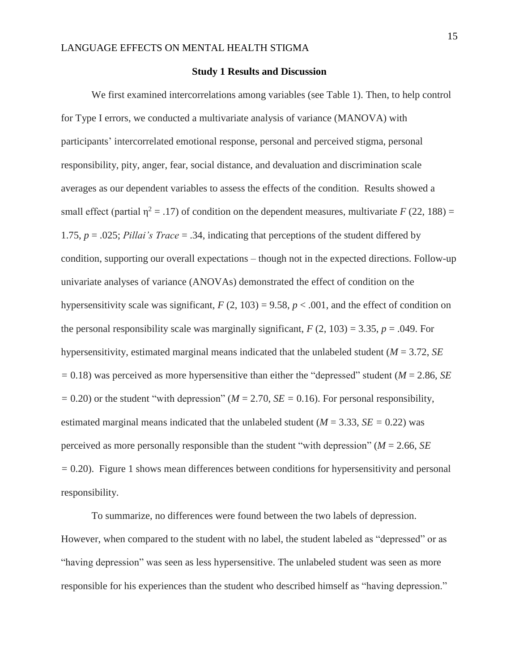#### **Study 1 Results and Discussion**

We first examined intercorrelations among variables (see Table 1). Then, to help control for Type I errors, we conducted a multivariate analysis of variance (MANOVA) with participants' intercorrelated emotional response, personal and perceived stigma, personal responsibility, pity, anger, fear, social distance, and devaluation and discrimination scale averages as our dependent variables to assess the effects of the condition. Results showed a small effect (partial  $\eta^2 = .17$ ) of condition on the dependent measures, multivariate  $F(22, 188) =$ 1.75, *p* = .025; *Pillai's Trace* = .34, indicating that perceptions of the student differed by condition, supporting our overall expectations – though not in the expected directions. Follow-up univariate analyses of variance (ANOVAs) demonstrated the effect of condition on the hypersensitivity scale was significant,  $F(2, 103) = 9.58$ ,  $p < .001$ , and the effect of condition on the personal responsibility scale was marginally significant,  $F(2, 103) = 3.35$ ,  $p = .049$ . For hypersensitivity, estimated marginal means indicated that the unlabeled student (*M* = 3.72, *SE =* 0.18) was perceived as more hypersensitive than either the "depressed" student (*M* = 2.86, *SE*   $= 0.20$ ) or the student "with depression" ( $M = 2.70$ ,  $SE = 0.16$ ). For personal responsibility, estimated marginal means indicated that the unlabeled student ( $M = 3.33$ ,  $SE = 0.22$ ) was perceived as more personally responsible than the student "with depression" (*M* = 2.66, *SE =* 0.20). Figure 1 shows mean differences between conditions for hypersensitivity and personal responsibility.

To summarize, no differences were found between the two labels of depression. However, when compared to the student with no label, the student labeled as "depressed" or as "having depression" was seen as less hypersensitive. The unlabeled student was seen as more responsible for his experiences than the student who described himself as "having depression."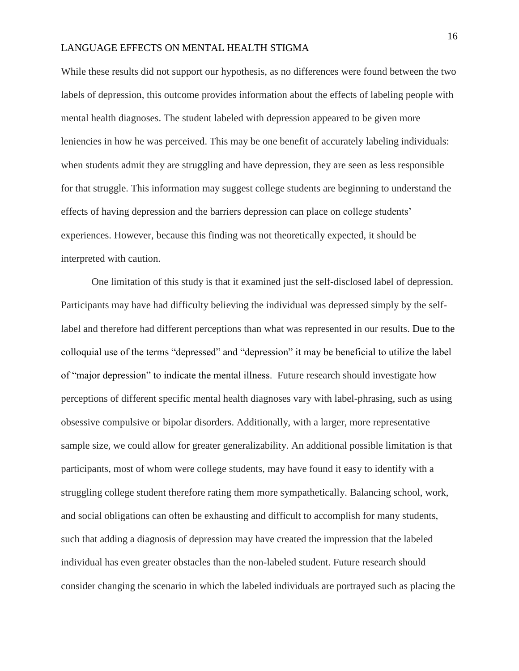While these results did not support our hypothesis, as no differences were found between the two labels of depression, this outcome provides information about the effects of labeling people with mental health diagnoses. The student labeled with depression appeared to be given more leniencies in how he was perceived. This may be one benefit of accurately labeling individuals: when students admit they are struggling and have depression, they are seen as less responsible for that struggle. This information may suggest college students are beginning to understand the effects of having depression and the barriers depression can place on college students' experiences. However, because this finding was not theoretically expected, it should be interpreted with caution.

One limitation of this study is that it examined just the self-disclosed label of depression. Participants may have had difficulty believing the individual was depressed simply by the selflabel and therefore had different perceptions than what was represented in our results. Due to the colloquial use of the terms "depressed" and "depression" it may be beneficial to utilize the label of "major depression" to indicate the mental illness. Future research should investigate how perceptions of different specific mental health diagnoses vary with label-phrasing, such as using obsessive compulsive or bipolar disorders. Additionally, with a larger, more representative sample size, we could allow for greater generalizability. An additional possible limitation is that participants, most of whom were college students, may have found it easy to identify with a struggling college student therefore rating them more sympathetically. Balancing school, work, and social obligations can often be exhausting and difficult to accomplish for many students, such that adding a diagnosis of depression may have created the impression that the labeled individual has even greater obstacles than the non-labeled student. Future research should consider changing the scenario in which the labeled individuals are portrayed such as placing the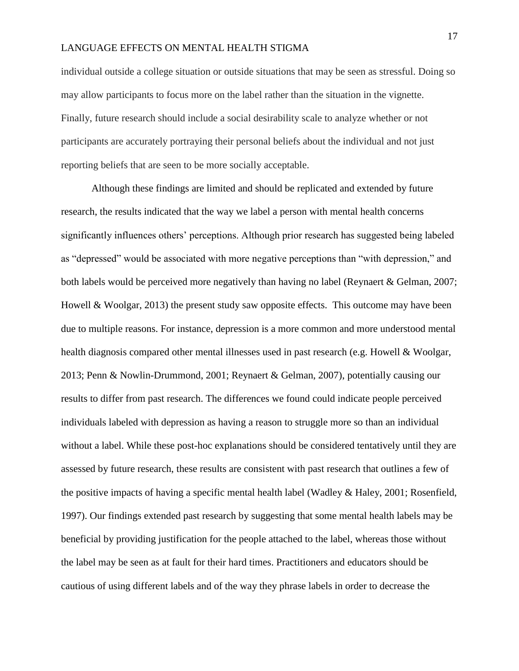individual outside a college situation or outside situations that may be seen as stressful. Doing so may allow participants to focus more on the label rather than the situation in the vignette. Finally, future research should include a social desirability scale to analyze whether or not participants are accurately portraying their personal beliefs about the individual and not just reporting beliefs that are seen to be more socially acceptable.

Although these findings are limited and should be replicated and extended by future research, the results indicated that the way we label a person with mental health concerns significantly influences others' perceptions. Although prior research has suggested being labeled as "depressed" would be associated with more negative perceptions than "with depression," and both labels would be perceived more negatively than having no label (Reynaert & Gelman, 2007; Howell & Woolgar, 2013) the present study saw opposite effects. This outcome may have been due to multiple reasons. For instance, depression is a more common and more understood mental health diagnosis compared other mental illnesses used in past research (e.g. Howell & Woolgar, 2013; Penn & Nowlin-Drummond, 2001; Reynaert & Gelman, 2007), potentially causing our results to differ from past research. The differences we found could indicate people perceived individuals labeled with depression as having a reason to struggle more so than an individual without a label. While these post-hoc explanations should be considered tentatively until they are assessed by future research, these results are consistent with past research that outlines a few of the positive impacts of having a specific mental health label (Wadley & Haley, 2001; Rosenfield, 1997). Our findings extended past research by suggesting that some mental health labels may be beneficial by providing justification for the people attached to the label, whereas those without the label may be seen as at fault for their hard times. Practitioners and educators should be cautious of using different labels and of the way they phrase labels in order to decrease the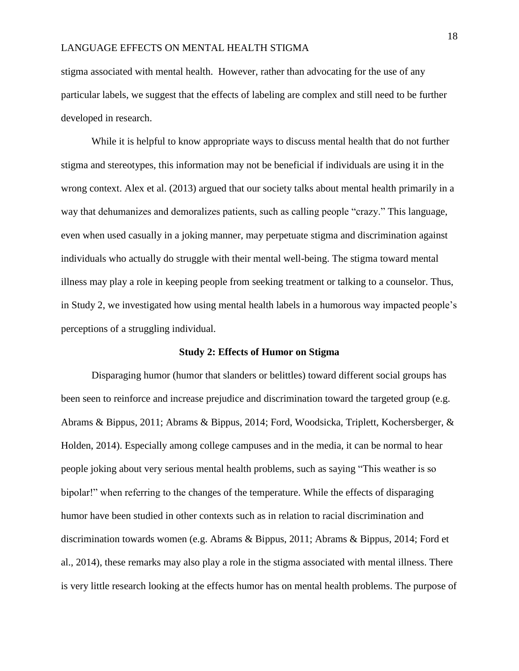stigma associated with mental health. However, rather than advocating for the use of any particular labels, we suggest that the effects of labeling are complex and still need to be further developed in research.

While it is helpful to know appropriate ways to discuss mental health that do not further stigma and stereotypes, this information may not be beneficial if individuals are using it in the wrong context. Alex et al. (2013) argued that our society talks about mental health primarily in a way that dehumanizes and demoralizes patients, such as calling people "crazy." This language, even when used casually in a joking manner, may perpetuate stigma and discrimination against individuals who actually do struggle with their mental well-being. The stigma toward mental illness may play a role in keeping people from seeking treatment or talking to a counselor. Thus, in Study 2, we investigated how using mental health labels in a humorous way impacted people's perceptions of a struggling individual.

#### **Study 2: Effects of Humor on Stigma**

Disparaging humor (humor that slanders or belittles) toward different social groups has been seen to reinforce and increase prejudice and discrimination toward the targeted group (e.g. Abrams & Bippus, 2011; Abrams & Bippus, 2014; Ford, Woodsicka, Triplett, Kochersberger, & Holden, 2014). Especially among college campuses and in the media, it can be normal to hear people joking about very serious mental health problems, such as saying "This weather is so bipolar!" when referring to the changes of the temperature. While the effects of disparaging humor have been studied in other contexts such as in relation to racial discrimination and discrimination towards women (e.g. Abrams & Bippus, 2011; Abrams & Bippus, 2014; Ford et al., 2014), these remarks may also play a role in the stigma associated with mental illness. There is very little research looking at the effects humor has on mental health problems. The purpose of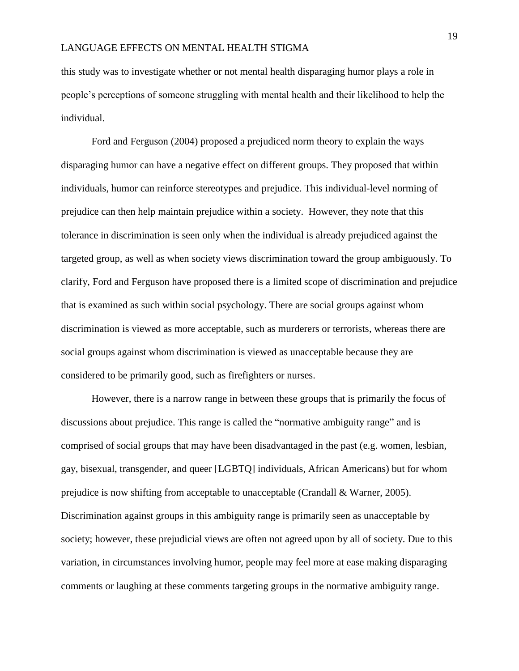this study was to investigate whether or not mental health disparaging humor plays a role in people's perceptions of someone struggling with mental health and their likelihood to help the individual.

Ford and Ferguson (2004) proposed a prejudiced norm theory to explain the ways disparaging humor can have a negative effect on different groups. They proposed that within individuals, humor can reinforce stereotypes and prejudice. This individual-level norming of prejudice can then help maintain prejudice within a society. However, they note that this tolerance in discrimination is seen only when the individual is already prejudiced against the targeted group, as well as when society views discrimination toward the group ambiguously. To clarify, Ford and Ferguson have proposed there is a limited scope of discrimination and prejudice that is examined as such within social psychology. There are social groups against whom discrimination is viewed as more acceptable, such as murderers or terrorists, whereas there are social groups against whom discrimination is viewed as unacceptable because they are considered to be primarily good, such as firefighters or nurses.

However, there is a narrow range in between these groups that is primarily the focus of discussions about prejudice. This range is called the "normative ambiguity range" and is comprised of social groups that may have been disadvantaged in the past (e.g. women, lesbian, gay, bisexual, transgender, and queer [LGBTQ] individuals, African Americans) but for whom prejudice is now shifting from acceptable to unacceptable (Crandall & Warner, 2005). Discrimination against groups in this ambiguity range is primarily seen as unacceptable by society; however, these prejudicial views are often not agreed upon by all of society. Due to this variation, in circumstances involving humor, people may feel more at ease making disparaging comments or laughing at these comments targeting groups in the normative ambiguity range.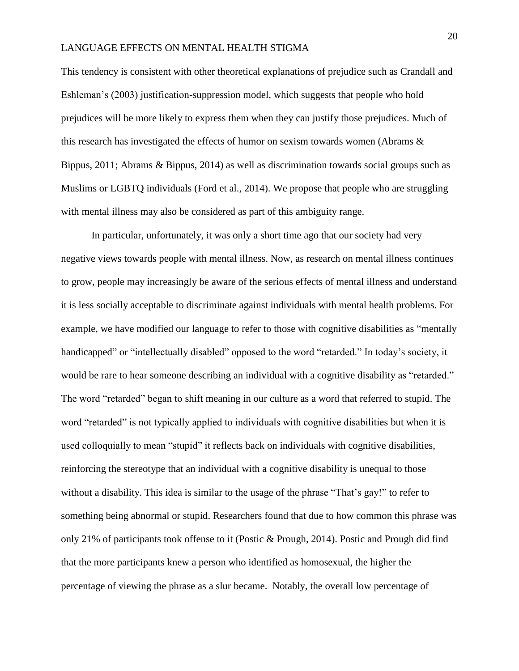This tendency is consistent with other theoretical explanations of prejudice such as Crandall and Eshleman's (2003) justification-suppression model, which suggests that people who hold prejudices will be more likely to express them when they can justify those prejudices. Much of this research has investigated the effects of humor on sexism towards women (Abrams & Bippus, 2011; Abrams & Bippus, 2014) as well as discrimination towards social groups such as Muslims or LGBTQ individuals (Ford et al., 2014). We propose that people who are struggling with mental illness may also be considered as part of this ambiguity range.

In particular, unfortunately, it was only a short time ago that our society had very negative views towards people with mental illness. Now, as research on mental illness continues to grow, people may increasingly be aware of the serious effects of mental illness and understand it is less socially acceptable to discriminate against individuals with mental health problems. For example, we have modified our language to refer to those with cognitive disabilities as "mentally handicapped" or "intellectually disabled" opposed to the word "retarded." In today's society, it would be rare to hear someone describing an individual with a cognitive disability as "retarded." The word "retarded" began to shift meaning in our culture as a word that referred to stupid. The word "retarded" is not typically applied to individuals with cognitive disabilities but when it is used colloquially to mean "stupid" it reflects back on individuals with cognitive disabilities, reinforcing the stereotype that an individual with a cognitive disability is unequal to those without a disability. This idea is similar to the usage of the phrase "That's gay!" to refer to something being abnormal or stupid. Researchers found that due to how common this phrase was only 21% of participants took offense to it (Postic & Prough, 2014). Postic and Prough did find that the more participants knew a person who identified as homosexual, the higher the percentage of viewing the phrase as a slur became. Notably, the overall low percentage of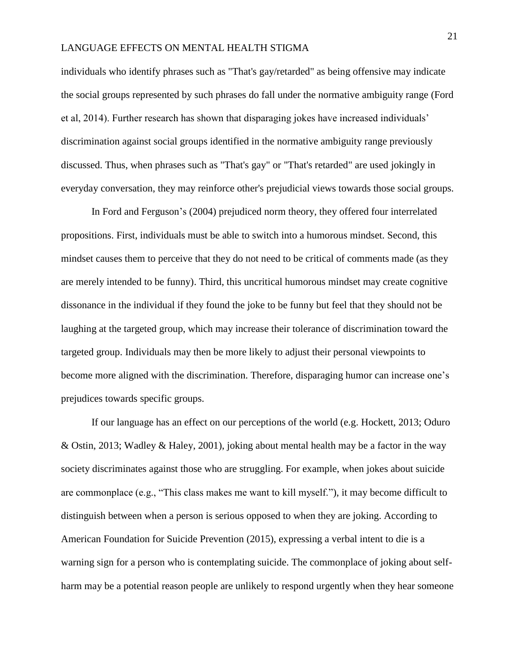individuals who identify phrases such as "That's gay/retarded" as being offensive may indicate the social groups represented by such phrases do fall under the normative ambiguity range (Ford et al, 2014). Further research has shown that disparaging jokes have increased individuals' discrimination against social groups identified in the normative ambiguity range previously discussed. Thus, when phrases such as "That's gay" or "That's retarded" are used jokingly in everyday conversation, they may reinforce other's prejudicial views towards those social groups.

In Ford and Ferguson's (2004) prejudiced norm theory, they offered four interrelated propositions. First, individuals must be able to switch into a humorous mindset. Second, this mindset causes them to perceive that they do not need to be critical of comments made (as they are merely intended to be funny). Third, this uncritical humorous mindset may create cognitive dissonance in the individual if they found the joke to be funny but feel that they should not be laughing at the targeted group, which may increase their tolerance of discrimination toward the targeted group. Individuals may then be more likely to adjust their personal viewpoints to become more aligned with the discrimination. Therefore, disparaging humor can increase one's prejudices towards specific groups.

If our language has an effect on our perceptions of the world (e.g. Hockett, 2013; Oduro & Ostin, 2013; Wadley & Haley, 2001), joking about mental health may be a factor in the way society discriminates against those who are struggling. For example, when jokes about suicide are commonplace (e.g., "This class makes me want to kill myself."), it may become difficult to distinguish between when a person is serious opposed to when they are joking. According to American Foundation for Suicide Prevention (2015), expressing a verbal intent to die is a warning sign for a person who is contemplating suicide. The commonplace of joking about selfharm may be a potential reason people are unlikely to respond urgently when they hear someone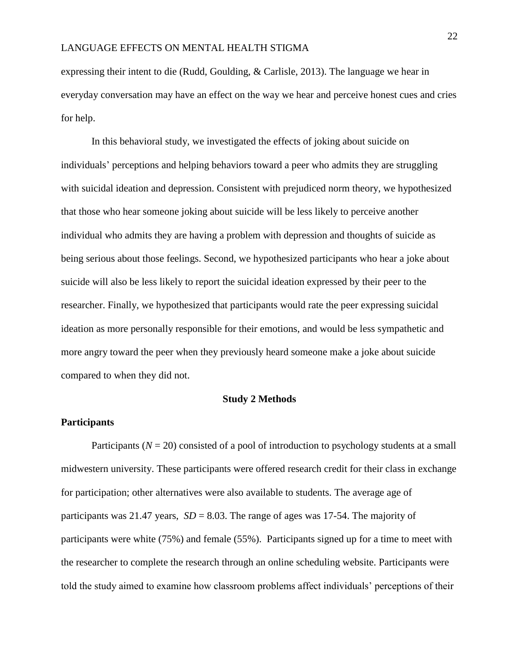expressing their intent to die (Rudd, Goulding, & Carlisle, 2013). The language we hear in everyday conversation may have an effect on the way we hear and perceive honest cues and cries for help.

In this behavioral study, we investigated the effects of joking about suicide on individuals' perceptions and helping behaviors toward a peer who admits they are struggling with suicidal ideation and depression. Consistent with prejudiced norm theory, we hypothesized that those who hear someone joking about suicide will be less likely to perceive another individual who admits they are having a problem with depression and thoughts of suicide as being serious about those feelings. Second, we hypothesized participants who hear a joke about suicide will also be less likely to report the suicidal ideation expressed by their peer to the researcher. Finally, we hypothesized that participants would rate the peer expressing suicidal ideation as more personally responsible for their emotions, and would be less sympathetic and more angry toward the peer when they previously heard someone make a joke about suicide compared to when they did not.

#### **Study 2 Methods**

#### **Participants**

Participants (*N* = 20) consisted of a pool of introduction to psychology students at a small midwestern university. These participants were offered research credit for their class in exchange for participation; other alternatives were also available to students. The average age of participants was 21.47 years,  $SD = 8.03$ . The range of ages was 17-54. The majority of participants were white (75%) and female (55%). Participants signed up for a time to meet with the researcher to complete the research through an online scheduling website. Participants were told the study aimed to examine how classroom problems affect individuals' perceptions of their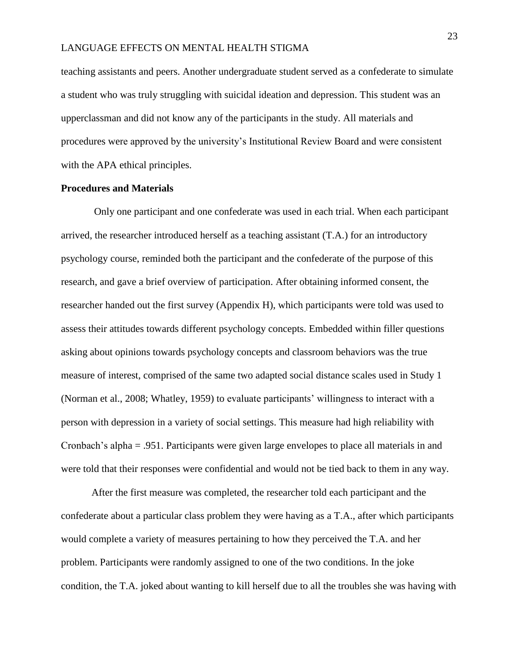teaching assistants and peers. Another undergraduate student served as a confederate to simulate a student who was truly struggling with suicidal ideation and depression. This student was an upperclassman and did not know any of the participants in the study. All materials and procedures were approved by the university's Institutional Review Board and were consistent with the APA ethical principles.

#### **Procedures and Materials**

Only one participant and one confederate was used in each trial. When each participant arrived, the researcher introduced herself as a teaching assistant (T.A.) for an introductory psychology course, reminded both the participant and the confederate of the purpose of this research, and gave a brief overview of participation. After obtaining informed consent, the researcher handed out the first survey (Appendix H), which participants were told was used to assess their attitudes towards different psychology concepts. Embedded within filler questions asking about opinions towards psychology concepts and classroom behaviors was the true measure of interest, comprised of the same two adapted social distance scales used in Study 1 (Norman et al., 2008; Whatley, 1959) to evaluate participants' willingness to interact with a person with depression in a variety of social settings. This measure had high reliability with Cronbach's alpha = .951. Participants were given large envelopes to place all materials in and were told that their responses were confidential and would not be tied back to them in any way.

After the first measure was completed, the researcher told each participant and the confederate about a particular class problem they were having as a T.A., after which participants would complete a variety of measures pertaining to how they perceived the T.A. and her problem. Participants were randomly assigned to one of the two conditions. In the joke condition, the T.A. joked about wanting to kill herself due to all the troubles she was having with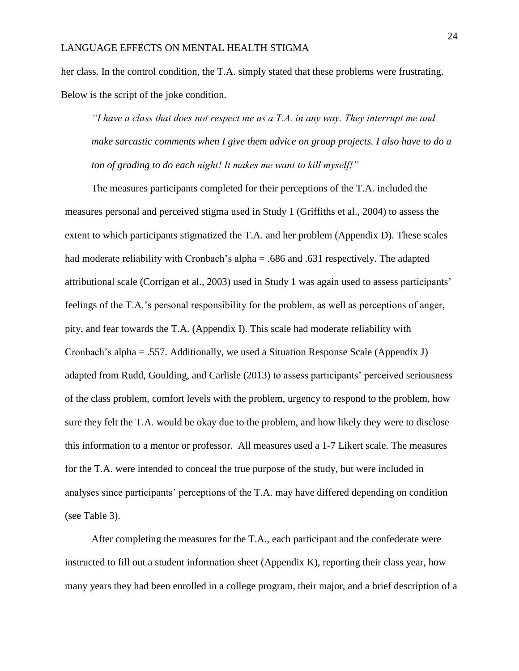her class. In the control condition, the T.A. simply stated that these problems were frustrating. Below is the script of the joke condition.

*"I have a class that does not respect me as a T.A. in any way. They interrupt me and make sarcastic comments when I give them advice on group projects. I also have to do a ton of grading to do each night! It makes me want to kill myself!"*

The measures participants completed for their perceptions of the T.A. included the measures personal and perceived stigma used in Study 1 (Griffiths et al., 2004) to assess the extent to which participants stigmatized the T.A. and her problem (Appendix D). These scales had moderate reliability with Cronbach's alpha = .686 and .631 respectively. The adapted attributional scale (Corrigan et al., 2003) used in Study 1 was again used to assess participants' feelings of the T.A.'s personal responsibility for the problem, as well as perceptions of anger, pity, and fear towards the T.A. (Appendix I). This scale had moderate reliability with Cronbach's alpha = .557. Additionally, we used a Situation Response Scale (Appendix J) adapted from Rudd, Goulding, and Carlisle (2013) to assess participants' perceived seriousness of the class problem, comfort levels with the problem, urgency to respond to the problem, how sure they felt the T.A. would be okay due to the problem, and how likely they were to disclose this information to a mentor or professor. All measures used a 1-7 Likert scale. The measures for the T.A. were intended to conceal the true purpose of the study, but were included in analyses since participants' perceptions of the T.A. may have differed depending on condition (see Table 3).

After completing the measures for the T.A., each participant and the confederate were instructed to fill out a student information sheet (Appendix K), reporting their class year, how many years they had been enrolled in a college program, their major, and a brief description of a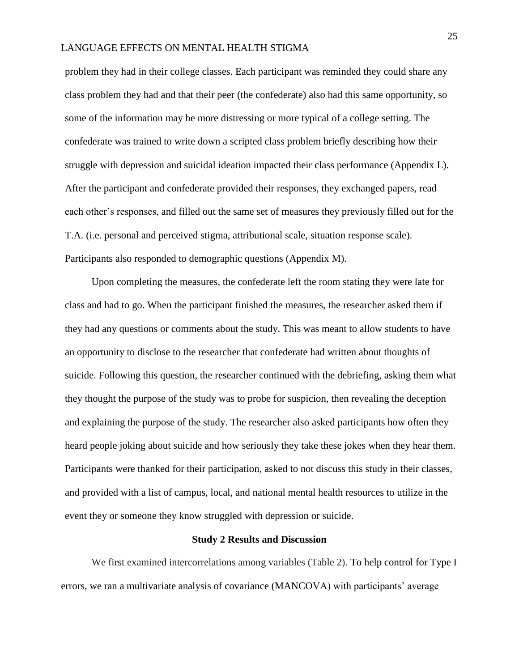problem they had in their college classes. Each participant was reminded they could share any class problem they had and that their peer (the confederate) also had this same opportunity, so some of the information may be more distressing or more typical of a college setting. The confederate was trained to write down a scripted class problem briefly describing how their struggle with depression and suicidal ideation impacted their class performance (Appendix L). After the participant and confederate provided their responses, they exchanged papers, read each other's responses, and filled out the same set of measures they previously filled out for the T.A. (i.e. personal and perceived stigma, attributional scale, situation response scale). Participants also responded to demographic questions (Appendix M).

Upon completing the measures, the confederate left the room stating they were late for class and had to go. When the participant finished the measures, the researcher asked them if they had any questions or comments about the study. This was meant to allow students to have an opportunity to disclose to the researcher that confederate had written about thoughts of suicide. Following this question, the researcher continued with the debriefing, asking them what they thought the purpose of the study was to probe for suspicion, then revealing the deception and explaining the purpose of the study. The researcher also asked participants how often they heard people joking about suicide and how seriously they take these jokes when they hear them. Participants were thanked for their participation, asked to not discuss this study in their classes, and provided with a list of campus, local, and national mental health resources to utilize in the event they or someone they know struggled with depression or suicide.

#### **Study 2 Results and Discussion**

We first examined intercorrelations among variables (Table 2). To help control for Type I errors, we ran a multivariate analysis of covariance (MANCOVA) with participants' average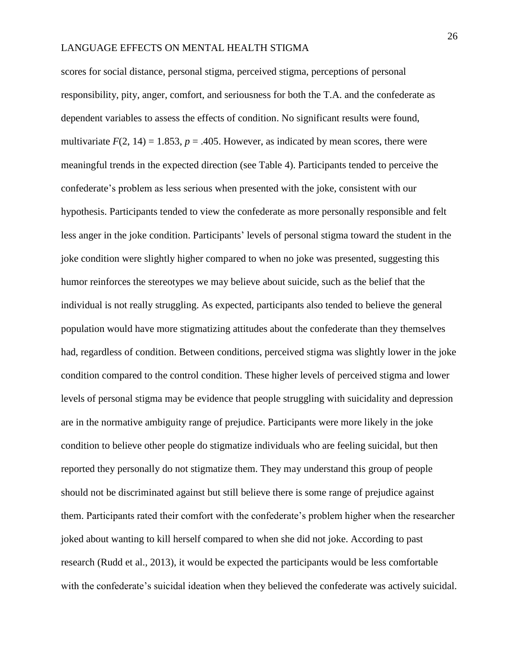scores for social distance, personal stigma, perceived stigma, perceptions of personal responsibility, pity, anger, comfort, and seriousness for both the T.A. and the confederate as dependent variables to assess the effects of condition. No significant results were found, multivariate  $F(2, 14) = 1.853$ ,  $p = .405$ . However, as indicated by mean scores, there were meaningful trends in the expected direction (see Table 4). Participants tended to perceive the confederate's problem as less serious when presented with the joke, consistent with our hypothesis. Participants tended to view the confederate as more personally responsible and felt less anger in the joke condition. Participants' levels of personal stigma toward the student in the joke condition were slightly higher compared to when no joke was presented, suggesting this humor reinforces the stereotypes we may believe about suicide, such as the belief that the individual is not really struggling. As expected, participants also tended to believe the general population would have more stigmatizing attitudes about the confederate than they themselves had, regardless of condition. Between conditions, perceived stigma was slightly lower in the joke condition compared to the control condition. These higher levels of perceived stigma and lower levels of personal stigma may be evidence that people struggling with suicidality and depression are in the normative ambiguity range of prejudice. Participants were more likely in the joke condition to believe other people do stigmatize individuals who are feeling suicidal, but then reported they personally do not stigmatize them. They may understand this group of people should not be discriminated against but still believe there is some range of prejudice against them. Participants rated their comfort with the confederate's problem higher when the researcher joked about wanting to kill herself compared to when she did not joke. According to past research (Rudd et al., 2013), it would be expected the participants would be less comfortable with the confederate's suicidal ideation when they believed the confederate was actively suicidal.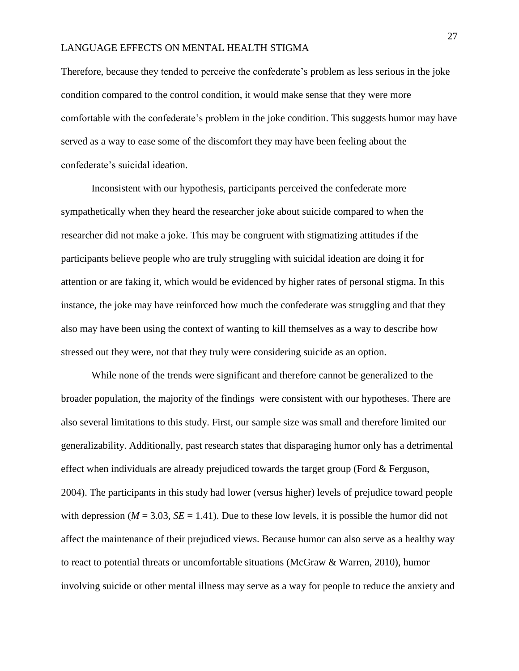Therefore, because they tended to perceive the confederate's problem as less serious in the joke condition compared to the control condition, it would make sense that they were more comfortable with the confederate's problem in the joke condition. This suggests humor may have served as a way to ease some of the discomfort they may have been feeling about the confederate's suicidal ideation.

Inconsistent with our hypothesis, participants perceived the confederate more sympathetically when they heard the researcher joke about suicide compared to when the researcher did not make a joke. This may be congruent with stigmatizing attitudes if the participants believe people who are truly struggling with suicidal ideation are doing it for attention or are faking it, which would be evidenced by higher rates of personal stigma. In this instance, the joke may have reinforced how much the confederate was struggling and that they also may have been using the context of wanting to kill themselves as a way to describe how stressed out they were, not that they truly were considering suicide as an option.

While none of the trends were significant and therefore cannot be generalized to the broader population, the majority of the findings were consistent with our hypotheses. There are also several limitations to this study. First, our sample size was small and therefore limited our generalizability. Additionally, past research states that disparaging humor only has a detrimental effect when individuals are already prejudiced towards the target group (Ford  $&$  Ferguson, 2004). The participants in this study had lower (versus higher) levels of prejudice toward people with depression ( $M = 3.03$ ,  $SE = 1.41$ ). Due to these low levels, it is possible the humor did not affect the maintenance of their prejudiced views. Because humor can also serve as a healthy way to react to potential threats or uncomfortable situations (McGraw  $\&$  Warren, 2010), humor involving suicide or other mental illness may serve as a way for people to reduce the anxiety and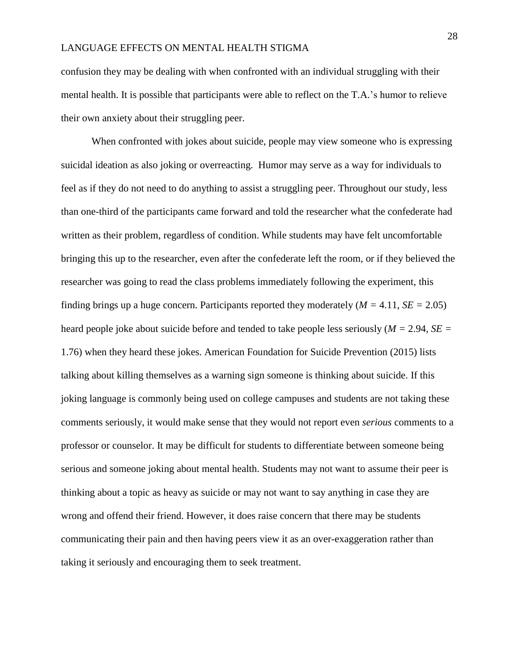confusion they may be dealing with when confronted with an individual struggling with their mental health. It is possible that participants were able to reflect on the T.A.'s humor to relieve their own anxiety about their struggling peer.

When confronted with jokes about suicide, people may view someone who is expressing suicidal ideation as also joking or overreacting. Humor may serve as a way for individuals to feel as if they do not need to do anything to assist a struggling peer. Throughout our study, less than one-third of the participants came forward and told the researcher what the confederate had written as their problem, regardless of condition. While students may have felt uncomfortable bringing this up to the researcher, even after the confederate left the room, or if they believed the researcher was going to read the class problems immediately following the experiment, this finding brings up a huge concern. Participants reported they moderately  $(M = 4.11, SE = 2.05)$ heard people joke about suicide before and tended to take people less seriously (*M =* 2.94, *SE =* 1.76) when they heard these jokes. American Foundation for Suicide Prevention (2015) lists talking about killing themselves as a warning sign someone is thinking about suicide. If this joking language is commonly being used on college campuses and students are not taking these comments seriously, it would make sense that they would not report even *serious* comments to a professor or counselor. It may be difficult for students to differentiate between someone being serious and someone joking about mental health. Students may not want to assume their peer is thinking about a topic as heavy as suicide or may not want to say anything in case they are wrong and offend their friend. However, it does raise concern that there may be students communicating their pain and then having peers view it as an over-exaggeration rather than taking it seriously and encouraging them to seek treatment.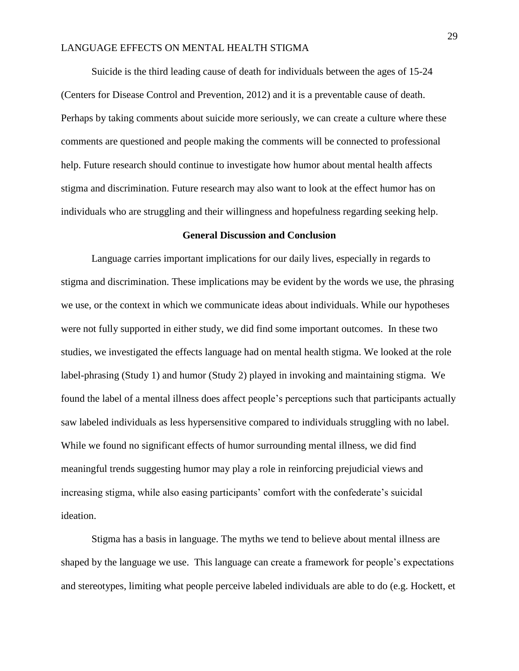Suicide is the third leading cause of death for individuals between the ages of 15-24 (Centers for Disease Control and Prevention, 2012) and it is a preventable cause of death. Perhaps by taking comments about suicide more seriously, we can create a culture where these comments are questioned and people making the comments will be connected to professional help. Future research should continue to investigate how humor about mental health affects stigma and discrimination. Future research may also want to look at the effect humor has on individuals who are struggling and their willingness and hopefulness regarding seeking help.

#### **General Discussion and Conclusion**

Language carries important implications for our daily lives, especially in regards to stigma and discrimination. These implications may be evident by the words we use, the phrasing we use, or the context in which we communicate ideas about individuals. While our hypotheses were not fully supported in either study, we did find some important outcomes. In these two studies, we investigated the effects language had on mental health stigma. We looked at the role label-phrasing (Study 1) and humor (Study 2) played in invoking and maintaining stigma. We found the label of a mental illness does affect people's perceptions such that participants actually saw labeled individuals as less hypersensitive compared to individuals struggling with no label. While we found no significant effects of humor surrounding mental illness, we did find meaningful trends suggesting humor may play a role in reinforcing prejudicial views and increasing stigma, while also easing participants' comfort with the confederate's suicidal ideation.

Stigma has a basis in language. The myths we tend to believe about mental illness are shaped by the language we use. This language can create a framework for people's expectations and stereotypes, limiting what people perceive labeled individuals are able to do (e.g. Hockett, et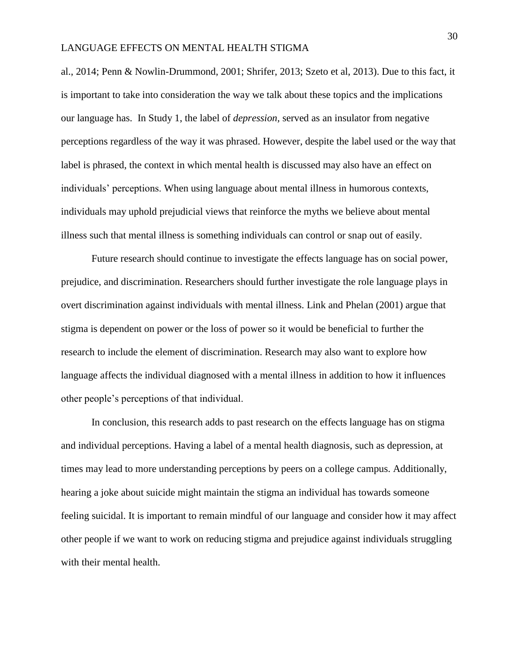al., 2014; Penn & Nowlin-Drummond, 2001; Shrifer, 2013; Szeto et al, 2013). Due to this fact, it is important to take into consideration the way we talk about these topics and the implications our language has. In Study 1, the label of *depression,* served as an insulator from negative perceptions regardless of the way it was phrased. However, despite the label used or the way that label is phrased, the context in which mental health is discussed may also have an effect on individuals' perceptions. When using language about mental illness in humorous contexts, individuals may uphold prejudicial views that reinforce the myths we believe about mental illness such that mental illness is something individuals can control or snap out of easily.

Future research should continue to investigate the effects language has on social power, prejudice, and discrimination. Researchers should further investigate the role language plays in overt discrimination against individuals with mental illness. Link and Phelan (2001) argue that stigma is dependent on power or the loss of power so it would be beneficial to further the research to include the element of discrimination. Research may also want to explore how language affects the individual diagnosed with a mental illness in addition to how it influences other people's perceptions of that individual.

In conclusion, this research adds to past research on the effects language has on stigma and individual perceptions. Having a label of a mental health diagnosis, such as depression, at times may lead to more understanding perceptions by peers on a college campus. Additionally, hearing a joke about suicide might maintain the stigma an individual has towards someone feeling suicidal. It is important to remain mindful of our language and consider how it may affect other people if we want to work on reducing stigma and prejudice against individuals struggling with their mental health.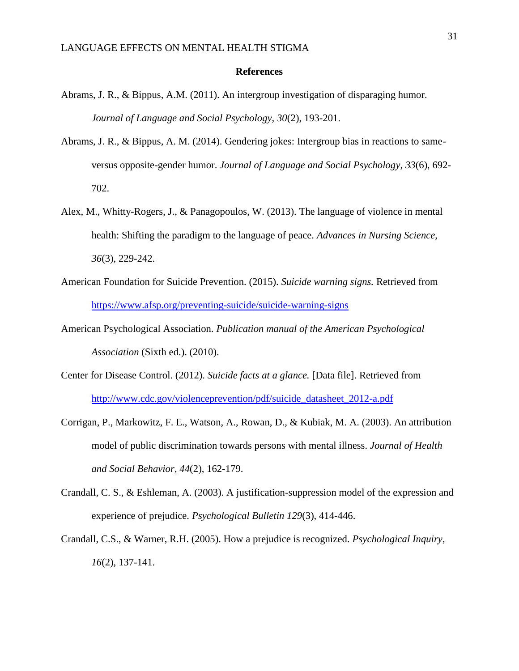#### **References**

- Abrams, J. R., & Bippus, A.M. (2011). An intergroup investigation of disparaging humor. *Journal of Language and Social Psychology, 30*(2), 193-201.
- Abrams, J. R., & Bippus, A. M. (2014). Gendering jokes: Intergroup bias in reactions to sameversus opposite-gender humor. *Journal of Language and Social Psychology*, *33*(6), 692- 702.
- Alex, M., Whitty-Rogers, J., & Panagopoulos, W. (2013). The language of violence in mental health: Shifting the paradigm to the language of peace. *Advances in Nursing Science*, *36*(3), 229-242.
- American Foundation for Suicide Prevention. (2015). *Suicide warning signs.* Retrieved from <https://www.afsp.org/preventing-suicide/suicide-warning-signs>
- American Psychological Association. *Publication manual of the American Psychological Association* (Sixth ed.). (2010).
- Center for Disease Control. (2012). *Suicide facts at a glance.* [Data file]. Retrieved from [http://www.cdc.gov/violenceprevention/pdf/suicide\\_datasheet\\_2012-a.pdf](http://www.cdc.gov/violenceprevention/pdf/suicide_datasheet_2012-a.pdf)
- Corrigan, P., Markowitz, F. E., Watson, A., Rowan, D., & Kubiak, M. A. (2003). An attribution model of public discrimination towards persons with mental illness. *Journal of Health and Social Behavior, 44*(2), 162-179.
- Crandall, C. S., & Eshleman, A. (2003). A justification-suppression model of the expression and experience of prejudice. *Psychological Bulletin 129*(3), 414-446.
- Crandall, C.S., & Warner, R.H. (2005). How a prejudice is recognized. *Psychological Inquiry, 16*(2), 137-141.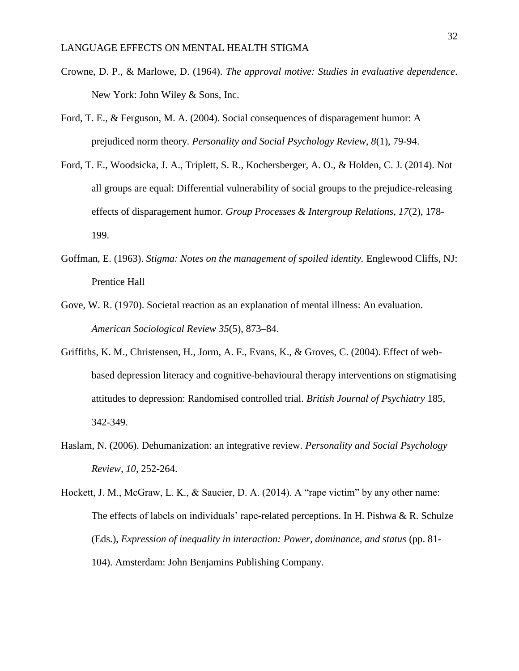- Crowne, D. P., & Marlowe, D. (1964). *The approval motive: Studies in evaluative dependence*. New York: John Wiley & Sons, Inc.
- Ford, T. E., & Ferguson, M. A. (2004). Social consequences of disparagement humor: A prejudiced norm theory. *Personality and Social Psychology Review*, *8*(1), 79-94.
- Ford, T. E., Woodsicka, J. A., Triplett, S. R., Kochersberger, A. O., & Holden, C. J. (2014). Not all groups are equal: Differential vulnerability of social groups to the prejudice-releasing effects of disparagement humor. *Group Processes & Intergroup Relations, 17*(2), 178- 199.
- Goffman, E. (1963). *Stigma: Notes on the management of spoiled identity.* Englewood Cliffs, NJ: Prentice Hall
- Gove, W. R. (1970). Societal reaction as an explanation of mental illness: An evaluation. *American Sociological Review 35*(5), 873–84.
- Griffiths, K. M., Christensen, H., Jorm, A. F., Evans, K., & Groves, C. (2004). Effect of webbased depression literacy and cognitive-behavioural therapy interventions on stigmatising attitudes to depression: Randomised controlled trial. *British Journal of Psychiatry* 185, 342-349.
- Haslam, N. (2006). Dehumanization: an integrative review. *Personality and Social Psychology Review, 10,* 252-264.
- Hockett, J. M., McGraw, L. K., & Saucier, D. A. (2014). A "rape victim" by any other name: The effects of labels on individuals' rape-related perceptions. In H. Pishwa & R. Schulze (Eds.), *Expression of inequality in interaction: Power, dominance, and status* (pp. 81- 104). Amsterdam: John Benjamins Publishing Company.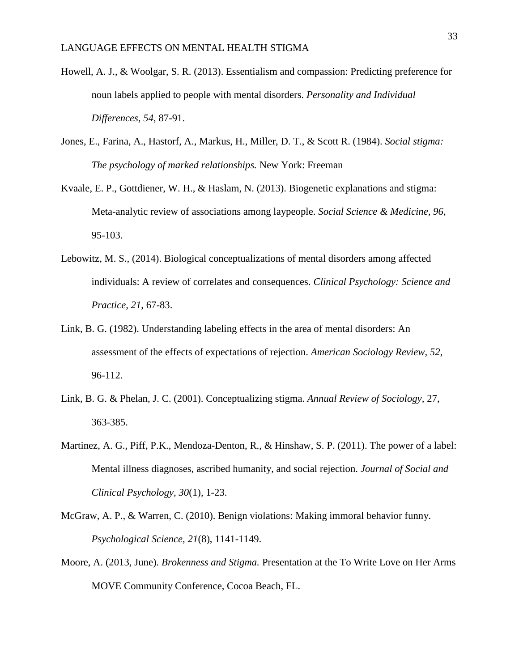- Howell, A. J., & Woolgar, S. R. (2013). Essentialism and compassion: Predicting preference for noun labels applied to people with mental disorders. *Personality and Individual Differences, 54*, 87-91.
- Jones, E., Farina, A., Hastorf, A., Markus, H., Miller, D. T., & Scott R. (1984). *Social stigma: The psychology of marked relationships.* New York: Freeman
- Kvaale, E. P., Gottdiener, W. H., & Haslam, N. (2013). Biogenetic explanations and stigma: Meta-analytic review of associations among laypeople. *Social Science & Medicine, 96*, 95-103.
- Lebowitz, M. S., (2014). Biological conceptualizations of mental disorders among affected individuals: A review of correlates and consequences. *Clinical Psychology: Science and Practice, 21*, 67-83.
- Link, B. G. (1982). Understanding labeling effects in the area of mental disorders: An assessment of the effects of expectations of rejection. *American Sociology Review, 52*, 96-112.
- Link, B. G. & Phelan, J. C. (2001). Conceptualizing stigma. *Annual Review of Sociology,* 27, 363-385.
- Martinez, A. G., Piff, P.K., Mendoza-Denton, R., & Hinshaw, S. P. (2011). The power of a label: Mental illness diagnoses, ascribed humanity, and social rejection. *Journal of Social and Clinical Psychology, 30*(1), 1-23.
- McGraw, A. P., & Warren, C. (2010). Benign violations: Making immoral behavior funny. *Psychological Science, 21*(8), 1141-1149.
- Moore, A. (2013, June). *Brokenness and Stigma.* Presentation at the To Write Love on Her Arms MOVE Community Conference, Cocoa Beach, FL.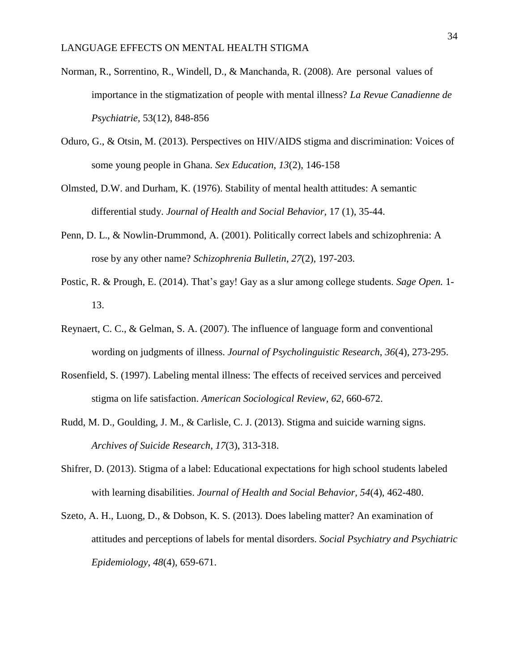- Norman, R., Sorrentino, R., Windell, D., & Manchanda, R. (2008). Are personal values of importance in the stigmatization of people with mental illness? *La Revue Canadienne de Psychiatrie,* 53(12), 848-856
- Oduro, G., & Otsin, M. (2013). Perspectives on HIV/AIDS stigma and discrimination: Voices of some young people in Ghana. *Sex Education*, *13*(2), 146-158
- Olmsted, D.W. and Durham, K. (1976). Stability of mental health attitudes: A semantic differential study. *Journal of Health and Social Behavior,* 17 (1), 35-44.
- Penn, D. L., & Nowlin-Drummond, A. (2001). Politically correct labels and schizophrenia: A rose by any other name? *Schizophrenia Bulletin*, *27*(2), 197-203.
- Postic, R. & Prough, E. (2014). That's gay! Gay as a slur among college students. *Sage Open.* 1- 13.
- Reynaert, C. C., & Gelman, S. A. (2007). The influence of language form and conventional wording on judgments of illness. *Journal of Psycholinguistic Research*, *36*(4), 273-295.
- Rosenfield, S. (1997). Labeling mental illness: The effects of received services and perceived stigma on life satisfaction. *American Sociological Review, 62*, 660-672.
- Rudd, M. D., Goulding, J. M., & Carlisle, C. J. (2013). Stigma and suicide warning signs. *Archives of Suicide Research*, *17*(3), 313-318.
- Shifrer, D. (2013). Stigma of a label: Educational expectations for high school students labeled with learning disabilities. *Journal of Health and Social Behavior, 54*(4), 462-480.
- Szeto, A. H., Luong, D., & Dobson, K. S. (2013). Does labeling matter? An examination of attitudes and perceptions of labels for mental disorders. *Social Psychiatry and Psychiatric Epidemiology*, *48*(4), 659-671.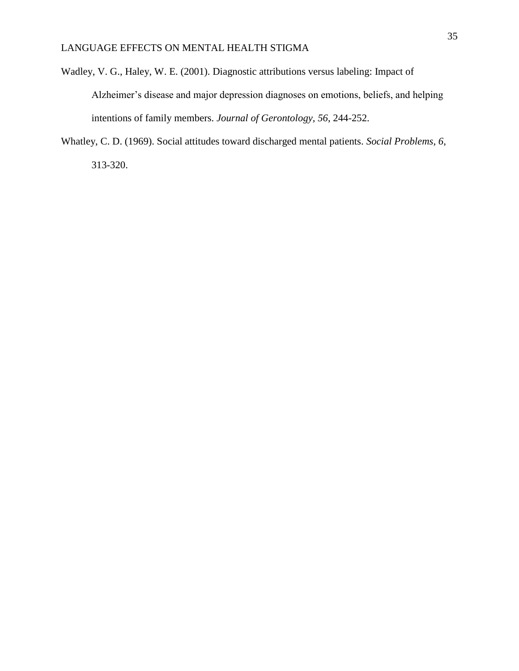- Wadley, V. G., Haley, W. E. (2001). Diagnostic attributions versus labeling: Impact of Alzheimer's disease and major depression diagnoses on emotions, beliefs, and helping intentions of family members. *Journal of Gerontology, 56*, 244-252.
- Whatley, C. D. (1969). Social attitudes toward discharged mental patients. *Social Problems*, *6*, 313-320.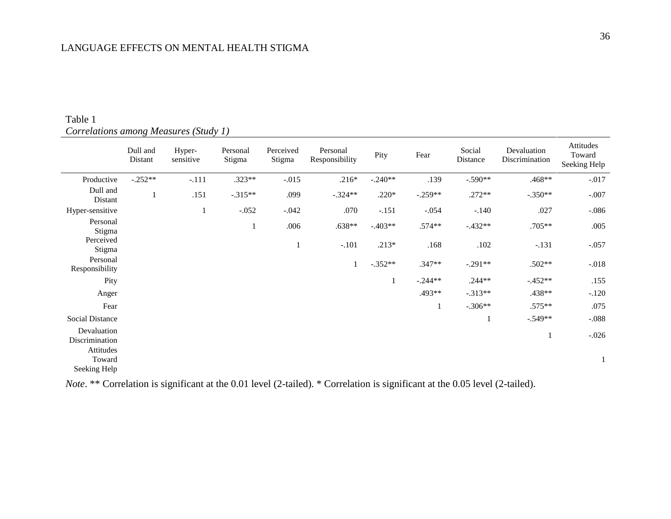|                                     | Dull and<br>Distant | Hyper-<br>sensitive | Personal<br>Stigma | Perceived<br>Stigma | Personal<br>Responsibility | Pity      | Fear      | Social<br>Distance | Devaluation<br>Discrimination | Attitudes<br>Toward<br>Seeking Help |
|-------------------------------------|---------------------|---------------------|--------------------|---------------------|----------------------------|-----------|-----------|--------------------|-------------------------------|-------------------------------------|
| Productive                          | $-.252**$           | $-.111$             | $.323**$           | $-0.015$            | $.216*$                    | $-.240**$ | .139      | $-.590**$          | .468**                        | $-0.017$                            |
| Dull and<br>Distant                 | -1                  | .151                | $-.315**$          | .099                | $-.324**$                  | $.220*$   | $-.259**$ | $.272**$           | $-.350**$                     | $-.007$                             |
| Hyper-sensitive                     |                     | $\mathbf{1}$        | $-.052$            | $-.042$             | .070                       | $-151$    | $-.054$   | $-.140$            | .027                          | $-.086$                             |
| Personal<br>Stigma                  |                     |                     | 1                  | .006                | $.638**$                   | $-.403**$ | $.574**$  | $-.432**$          | $.705**$                      | .005                                |
| Perceived<br>Stigma                 |                     |                     |                    | 1                   | $-.101$                    | $.213*$   | .168      | .102               | $-.131$                       | $-.057$                             |
| Personal<br>Responsibility          |                     |                     |                    |                     |                            | $-.352**$ | $.347**$  | $-.291**$          | $.502**$                      | $-.018$                             |
| Pity                                |                     |                     |                    |                     |                            |           | $-.244**$ | $.244**$           | $-452**$                      | .155                                |
| Anger                               |                     |                     |                    |                     |                            |           | .493**    | $-.313**$          | $.438**$                      | $-.120$                             |
| Fear                                |                     |                     |                    |                     |                            |           | 1         | $-.306**$          | .575**                        | .075                                |
| Social Distance                     |                     |                     |                    |                     |                            |           |           | 1                  | $-0.549**$                    | $-.088$                             |
| Devaluation<br>Discrimination       |                     |                     |                    |                     |                            |           |           |                    | -1                            | $-.026$                             |
| Attitudes<br>Toward<br>Seeking Help |                     |                     |                    |                     |                            |           |           |                    |                               |                                     |

## Table 1 *Correlations among Measures (Study 1)*

*Note*. \*\* Correlation is significant at the 0.01 level (2-tailed). \* Correlation is significant at the 0.05 level (2-tailed).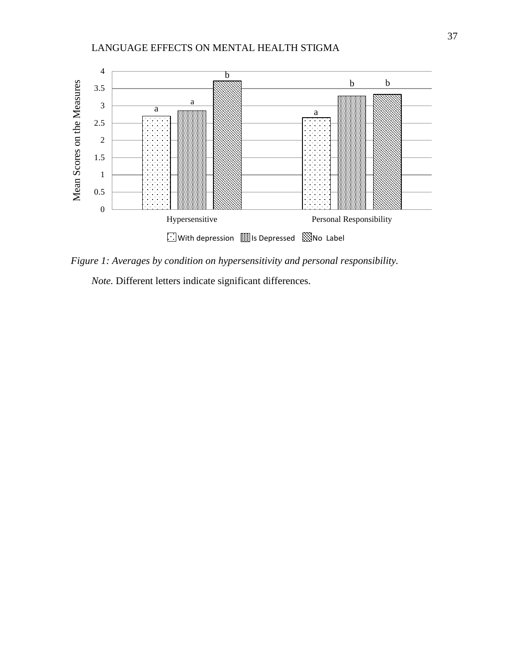

*Figure 1: Averages by condition on hypersensitivity and personal responsibility.*

*Note.* Different letters indicate significant differences.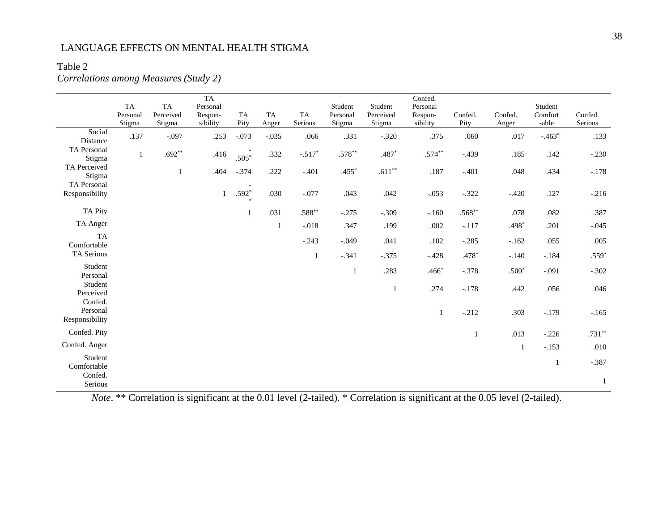## Table 2

## *Correlations among Measures (Study 2)*

|                                 | TA<br>Personal<br>Stigma | TA<br>Perceived<br>Stigma | TA<br>Personal<br>Respon-<br>sibility | TA<br>Pity | TA<br>Anger  | TA<br>Serious | Student<br>Personal<br>Stigma | Student<br>Perceived<br>Stigma | Confed.<br>Personal<br>Respon-<br>sibility | Confed.<br>Pity | Confed.<br>Anger | Student<br>Comfort<br>-able | Confed.<br>Serious |
|---------------------------------|--------------------------|---------------------------|---------------------------------------|------------|--------------|---------------|-------------------------------|--------------------------------|--------------------------------------------|-----------------|------------------|-----------------------------|--------------------|
| Social<br>Distance              | .137                     | $-.097$                   | .253                                  | $-.073$    | $-.035$      | .066          | .331                          | $-.320$                        | .375                                       | .060            | .017             | $-.463*$                    | .133               |
| TA Personal<br>Stigma           | $\mathbf{1}$             | $.692**$                  | .416                                  | $.505*$    | .332         | $-.517*$      | $.578**$                      | $.487*$                        | $.574***$                                  | $-.439$         | .185             | .142                        | $-.230$            |
| TA Perceived<br>Stigma          |                          | $\mathbf{1}$              | .404                                  | $-.374$    | .222         | $-.401$       | $.455*$                       | $.611***$                      | $.187\,$                                   | $-.401$         | .048             | .434                        | $-.178$            |
| TA Personal<br>Responsibility   |                          |                           | $\mathbf{1}$                          | $.592*$    | .030         | $-.077$       | .043                          | .042                           | $-.053$                                    | $-.322$         | $-.420$          | .127                        | $-.216$            |
| <b>TA Pity</b>                  |                          |                           |                                       |            | .031         | $.588***$     | $-.275$                       | $-.309$                        | $-.160$                                    | $.568**$        | .078             | .082                        | .387               |
| TA Anger                        |                          |                           |                                       |            | $\mathbf{1}$ | $-.018$       | .347                          | .199                           | $.002$                                     | $-.117$         | .498*            | .201                        | $-.045$            |
| <b>TA</b><br>Comfortable        |                          |                           |                                       |            |              | $-.243$       | $-.049$                       | .041                           | .102                                       | $-.285$         | $-162$           | .055                        | .005               |
| TA Serious                      |                          |                           |                                       |            |              | 1             | $-.341$                       | $-.375$                        | $-.428$                                    | $.478*$         | $-.140$          | $-.184$                     | $.559*$            |
| Student<br>Personal             |                          |                           |                                       |            |              |               | 1                             | .283                           | $.466*$                                    | $-.378$         | $.500*$          | $-.091$                     | $-.302$            |
| Student<br>Perceived<br>Confed. |                          |                           |                                       |            |              |               |                               | $\mathbf{1}$                   | .274                                       | $-.178$         | .442             | .056                        | $.046$             |
| Personal<br>Responsibility      |                          |                           |                                       |            |              |               |                               |                                | $\mathbf{1}$                               | $-.212$         | .303             | $-.179$                     | $-165$             |
| Confed. Pity                    |                          |                           |                                       |            |              |               |                               |                                |                                            | $\mathbf{1}$    | .013             | $-.226$                     | $.731^{\ast\ast}$  |
| Confed. Anger                   |                          |                           |                                       |            |              |               |                               |                                |                                            |                 | $\mathbf{1}$     | $-.153$                     | .010               |
| Student<br>Comfortable          |                          |                           |                                       |            |              |               |                               |                                |                                            |                 |                  | $\mathbf{1}$                | $-.387$            |
| Confed.<br>Serious              |                          |                           |                                       |            |              |               |                               |                                |                                            |                 |                  |                             | $\mathbf{1}$       |

*Note*. \*\* Correlation is significant at the 0.01 level (2-tailed). \* Correlation is significant at the 0.05 level (2-tailed).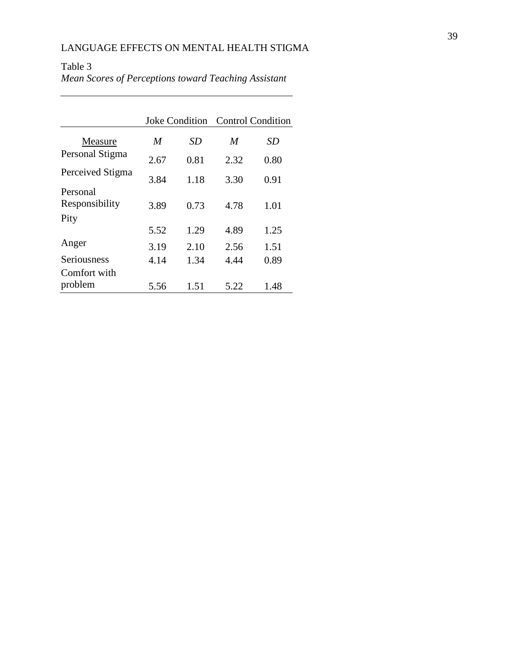|                            |      | <b>Joke Condition</b> | <b>Control Condition</b> |      |  |
|----------------------------|------|-----------------------|--------------------------|------|--|
| Measure                    | M    | SD                    | M                        | SD   |  |
| Personal Stigma            | 2.67 | 0.81                  | 2.32                     | 0.80 |  |
| Perceived Stigma           | 3.84 | 1.18                  | 3.30                     | 0.91 |  |
| Personal<br>Responsibility | 3.89 | 0.73                  | 4.78                     | 1.01 |  |
| Pity                       |      |                       |                          |      |  |
|                            | 5.52 | 1.29                  | 4.89                     | 1.25 |  |
| Anger                      | 3.19 | 2.10                  | 2.56                     | 1.51 |  |
| Seriousness                | 4.14 | 1.34                  | 4.44                     | 0.89 |  |
| Comfort with               |      |                       |                          |      |  |
| problem                    | 5.56 | 1.51                  | 5.22                     | 1.48 |  |

## Table 3 *Mean Scores of Perceptions toward Teaching Assistant*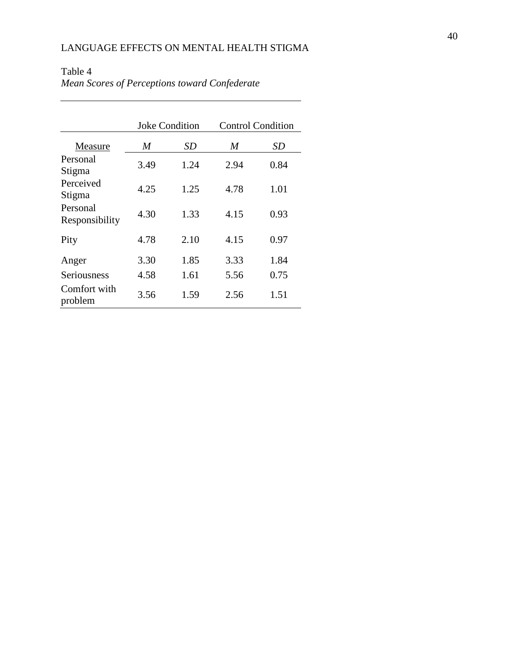|                            |      | <b>Joke Condition</b> | <b>Control Condition</b> |      |  |
|----------------------------|------|-----------------------|--------------------------|------|--|
| Measure                    | M    | SD                    | M                        | SD   |  |
| Personal<br>Stigma         | 3.49 | 1.24                  | 2.94                     | 0.84 |  |
| Perceived<br>Stigma        | 4.25 | 1.25                  | 4.78                     | 1.01 |  |
| Personal<br>Responsibility | 4.30 | 1.33                  | 4.15                     | 0.93 |  |
| Pity                       | 4.78 | 2.10                  | 4.15                     | 0.97 |  |
| Anger                      | 3.30 | 1.85                  | 3.33                     | 1.84 |  |
| Seriousness                | 4.58 | 1.61                  | 5.56                     | 0.75 |  |
| Comfort with<br>problem    | 3.56 | 1.59                  | 2.56                     | 1.51 |  |

## Table 4 *Mean Scores of Perceptions toward Confederate*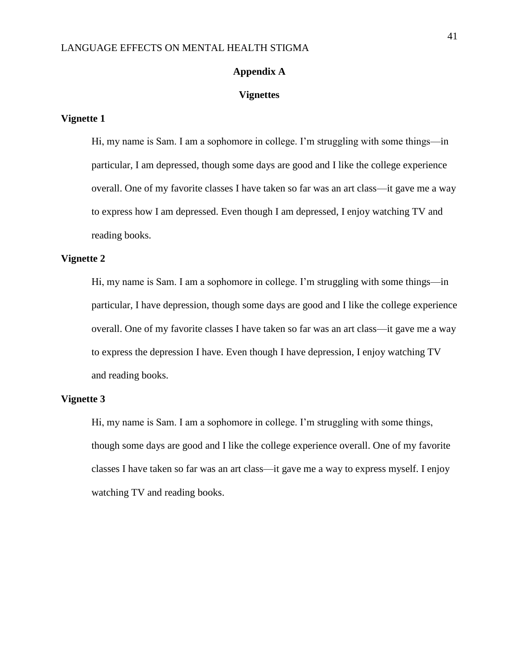#### **Appendix A**

#### **Vignettes**

#### **Vignette 1**

Hi, my name is Sam. I am a sophomore in college. I'm struggling with some things—in particular, I am depressed, though some days are good and I like the college experience overall. One of my favorite classes I have taken so far was an art class—it gave me a way to express how I am depressed. Even though I am depressed, I enjoy watching TV and reading books.

#### **Vignette 2**

Hi, my name is Sam. I am a sophomore in college. I'm struggling with some things—in particular, I have depression, though some days are good and I like the college experience overall. One of my favorite classes I have taken so far was an art class—it gave me a way to express the depression I have. Even though I have depression, I enjoy watching TV and reading books.

#### **Vignette 3**

Hi, my name is Sam. I am a sophomore in college. I'm struggling with some things, though some days are good and I like the college experience overall. One of my favorite classes I have taken so far was an art class—it gave me a way to express myself. I enjoy watching TV and reading books.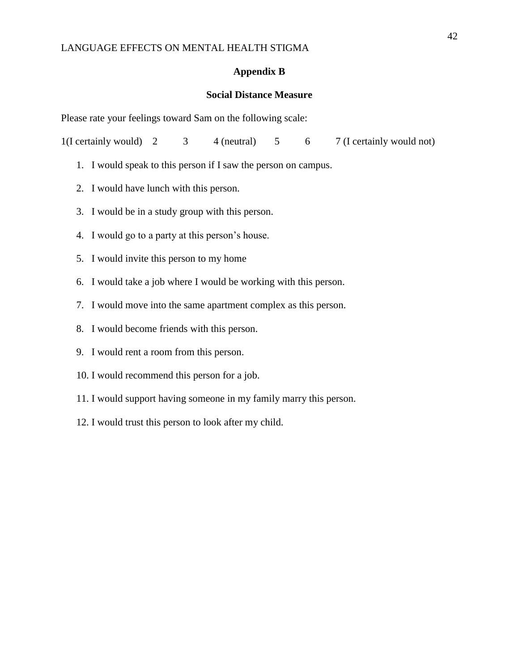#### **Appendix B**

### **Social Distance Measure**

Please rate your feelings toward Sam on the following scale:

1(I certainly would)  $2 \qquad 3 \qquad 4$  (neutral)  $5 \qquad 6 \qquad 7$  (I certainly would not)

- 1. I would speak to this person if I saw the person on campus.
- 2. I would have lunch with this person.
- 3. I would be in a study group with this person.
- 4. I would go to a party at this person's house.
- 5. I would invite this person to my home
- 6. I would take a job where I would be working with this person.
- 7. I would move into the same apartment complex as this person.
- 8. I would become friends with this person.
- 9. I would rent a room from this person.
- 10. I would recommend this person for a job.
- 11. I would support having someone in my family marry this person.
- 12. I would trust this person to look after my child.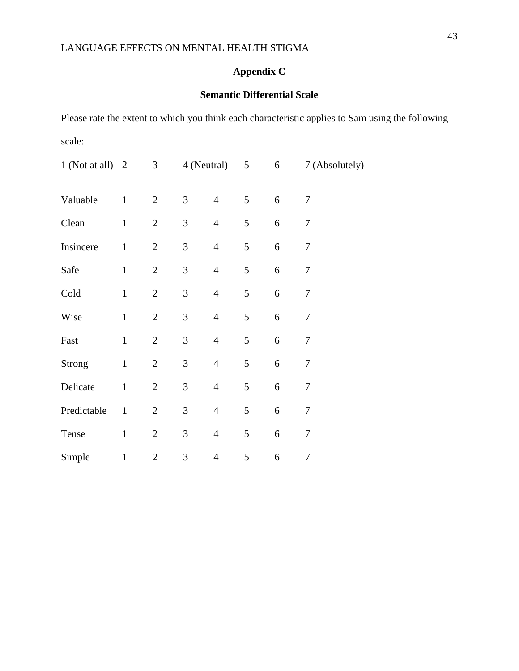# **Appendix C**

## **Semantic Differential Scale**

Please rate the extent to which you think each characteristic applies to Sam using the following scale:

| 1 (Not at all) $2$ |              | 3              | 4 (Neutral)    |                | 5             | 6          | 7 (Absolutely)   |
|--------------------|--------------|----------------|----------------|----------------|---------------|------------|------------------|
| Valuable           | $\mathbf{1}$ | $\mathbf{2}$   | $\mathfrak{Z}$ | $\overline{4}$ | 5             | $\sqrt{6}$ | $\tau$           |
| Clean              | $\mathbf{1}$ | $\sqrt{2}$     | $\mathfrak{Z}$ | $\overline{4}$ | $\mathfrak s$ | 6          | $\boldsymbol{7}$ |
| Insincere          | $\mathbf 1$  | $\overline{2}$ | $\mathfrak{Z}$ | $\overline{4}$ | 5             | 6          | $\overline{7}$   |
| Safe               | $\mathbf 1$  | $\mathbf{2}$   | 3              | $\overline{4}$ | 5             | 6          | 7                |
| Cold               | $\mathbf{1}$ | $\mathbf{2}$   | 3              | $\overline{4}$ | 5             | 6          | 7                |
| Wise               | $\mathbf{1}$ | $\mathbf{2}$   | 3              | $\overline{4}$ | $\mathfrak s$ | 6          | $\tau$           |
| Fast               | $\mathbf{1}$ | $\mathbf{2}$   | 3              | $\overline{4}$ | 5             | 6          | $\tau$           |
| <b>Strong</b>      | $\mathbf{1}$ | $\mathbf{2}$   | 3              | $\overline{4}$ | 5             | 6          | 7                |
| Delicate           | $\mathbf{1}$ | $\mathbf{2}$   | $\mathfrak{Z}$ | $\overline{4}$ | 5             | 6          | $\tau$           |
| Predictable        | $\mathbf{1}$ | $\mathbf{2}$   | 3              | $\overline{4}$ | 5             | 6          | $\boldsymbol{7}$ |
| Tense              | $\mathbf{1}$ | $\mathbf{2}$   | 3              | $\overline{4}$ | 5             | 6          | $\overline{7}$   |
| Simple             | $\mathbf{1}$ | $\mathbf{2}$   | 3              | $\overline{4}$ | 5             | 6          | 7                |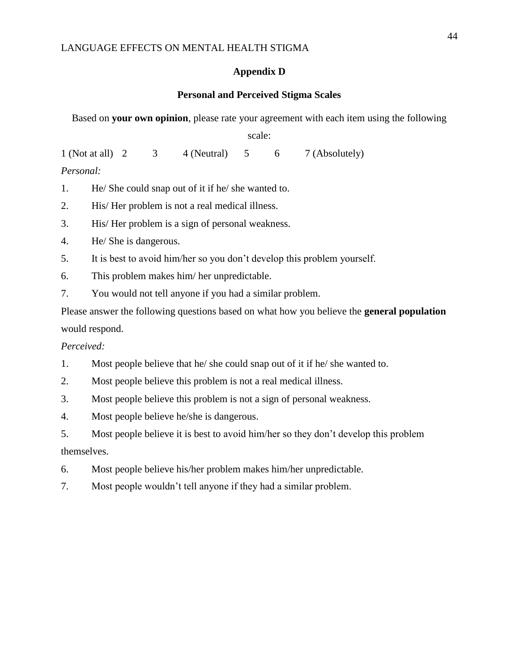### **Appendix D**

## **Personal and Perceived Stigma Scales**

Based on **your own opinion**, please rate your agreement with each item using the following

scale:

1 (Not at all) 2 3 4 (Neutral) 5 6 7 (Absolutely) *Personal:*

1. He/ She could snap out of it if he/ she wanted to.

2. His/ Her problem is not a real medical illness.

3. His/ Her problem is a sign of personal weakness.

4. He/ She is dangerous.

5. It is best to avoid him/her so you don't develop this problem yourself.

6. This problem makes him/ her unpredictable.

7. You would not tell anyone if you had a similar problem.

Please answer the following questions based on what how you believe the **general population** would respond.

*Perceived:*

1. Most people believe that he/ she could snap out of it if he/ she wanted to.

2. Most people believe this problem is not a real medical illness.

3. Most people believe this problem is not a sign of personal weakness.

4. Most people believe he/she is dangerous.

5. Most people believe it is best to avoid him/her so they don't develop this problem themselves.

6. Most people believe his/her problem makes him/her unpredictable.

7. Most people wouldn't tell anyone if they had a similar problem.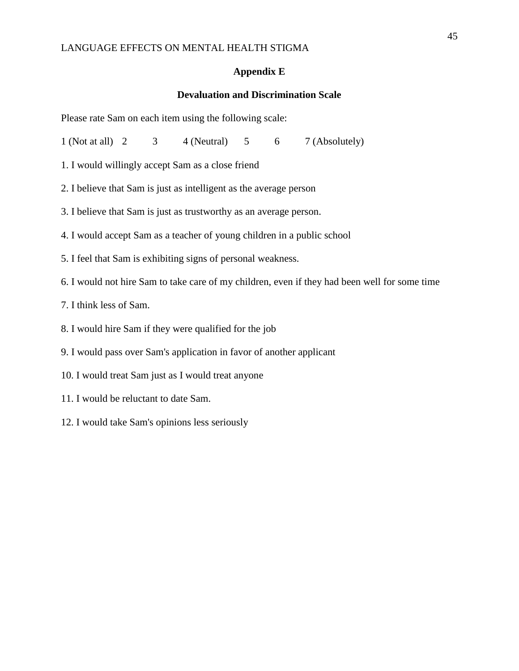#### **Appendix E**

## **Devaluation and Discrimination Scale**

Please rate Sam on each item using the following scale:

1 (Not at all)  $2 \t3 \t4$  (Neutral)  $5 \t6 \t7$  (Absolutely)

- 1. I would willingly accept Sam as a close friend
- 2. I believe that Sam is just as intelligent as the average person
- 3. I believe that Sam is just as trustworthy as an average person.
- 4. I would accept Sam as a teacher of young children in a public school
- 5. I feel that Sam is exhibiting signs of personal weakness.
- 6. I would not hire Sam to take care of my children, even if they had been well for some time
- 7. I think less of Sam.
- 8. I would hire Sam if they were qualified for the job
- 9. I would pass over Sam's application in favor of another applicant
- 10. I would treat Sam just as I would treat anyone
- 11. I would be reluctant to date Sam.
- 12. I would take Sam's opinions less seriously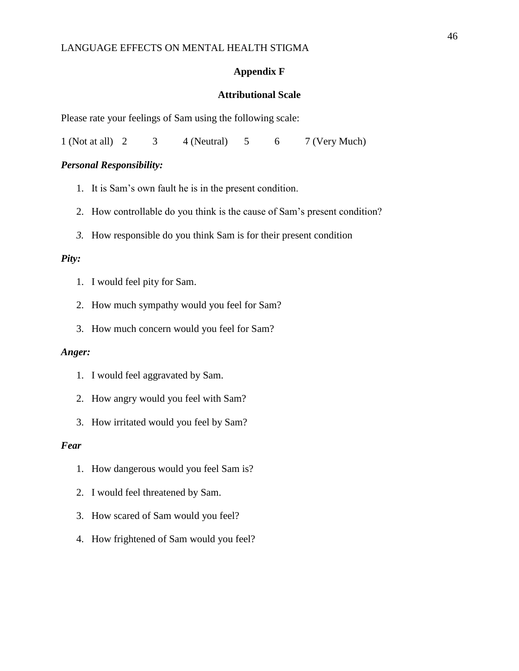#### **Appendix F**

### **Attributional Scale**

Please rate your feelings of Sam using the following scale:

1 (Not at all) 2 3 4 (Neutral) 5 6 7 (Very Much)

### *Personal Responsibility:*

- 1. It is Sam's own fault he is in the present condition.
- 2. How controllable do you think is the cause of Sam's present condition?
- *3.* How responsible do you think Sam is for their present condition

#### *Pity:*

- 1. I would feel pity for Sam.
- 2. How much sympathy would you feel for Sam?
- 3. How much concern would you feel for Sam?

#### *Anger:*

- 1. I would feel aggravated by Sam.
- 2. How angry would you feel with Sam?
- 3. How irritated would you feel by Sam?

#### *Fear*

- 1. How dangerous would you feel Sam is?
- 2. I would feel threatened by Sam.
- 3. How scared of Sam would you feel?
- 4. How frightened of Sam would you feel?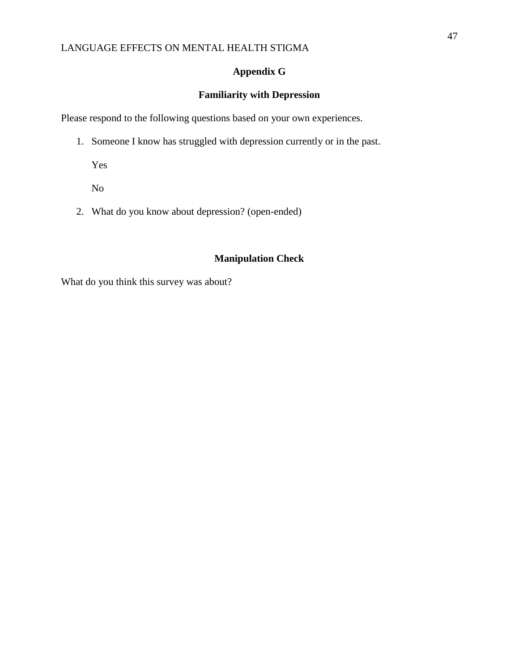## **Appendix G**

## **Familiarity with Depression**

Please respond to the following questions based on your own experiences.

1. Someone I know has struggled with depression currently or in the past.

Yes

No

2. What do you know about depression? (open-ended)

## **Manipulation Check**

What do you think this survey was about?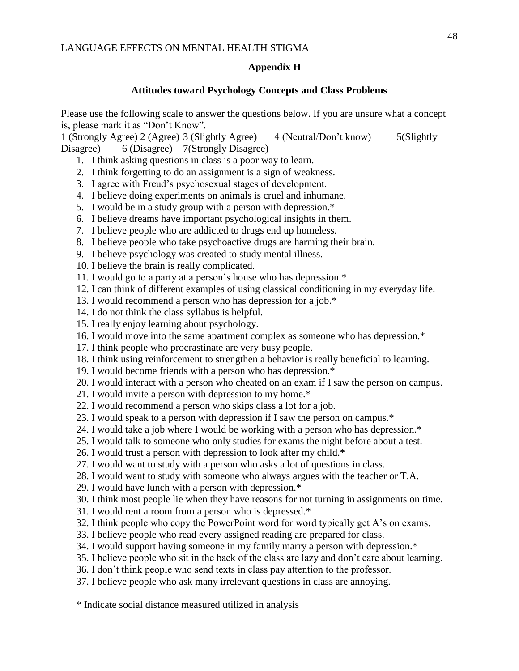## **Appendix H**

## **Attitudes toward Psychology Concepts and Class Problems**

Please use the following scale to answer the questions below. If you are unsure what a concept is, please mark it as "Don't Know".

1 (Strongly Agree) 2 (Agree) 3 (Slightly Agree) 4 (Neutral/Don't know) 5(Slightly Disagree) 6 (Disagree) 7 (Strongly Disagree)

- 1. I think asking questions in class is a poor way to learn.
- 2. I think forgetting to do an assignment is a sign of weakness.
- 3. I agree with Freud's psychosexual stages of development.
- 4. I believe doing experiments on animals is cruel and inhumane.
- 5. I would be in a study group with a person with depression.\*
- 6. I believe dreams have important psychological insights in them.
- 7. I believe people who are addicted to drugs end up homeless.
- 8. I believe people who take psychoactive drugs are harming their brain.
- 9. I believe psychology was created to study mental illness.
- 10. I believe the brain is really complicated.
- 11. I would go to a party at a person's house who has depression.\*
- 12. I can think of different examples of using classical conditioning in my everyday life.
- 13. I would recommend a person who has depression for a job.\*
- 14. I do not think the class syllabus is helpful.
- 15. I really enjoy learning about psychology.
- 16. I would move into the same apartment complex as someone who has depression.\*
- 17. I think people who procrastinate are very busy people.
- 18. I think using reinforcement to strengthen a behavior is really beneficial to learning.
- 19. I would become friends with a person who has depression.\*
- 20. I would interact with a person who cheated on an exam if I saw the person on campus.
- 21. I would invite a person with depression to my home.\*
- 22. I would recommend a person who skips class a lot for a job.
- 23. I would speak to a person with depression if I saw the person on campus.\*
- 24. I would take a job where I would be working with a person who has depression.\*
- 25. I would talk to someone who only studies for exams the night before about a test.
- 26. I would trust a person with depression to look after my child.\*
- 27. I would want to study with a person who asks a lot of questions in class.
- 28. I would want to study with someone who always argues with the teacher or T.A.
- 29. I would have lunch with a person with depression.\*
- 30. I think most people lie when they have reasons for not turning in assignments on time.
- 31. I would rent a room from a person who is depressed.\*
- 32. I think people who copy the PowerPoint word for word typically get A's on exams.
- 33. I believe people who read every assigned reading are prepared for class.
- 34. I would support having someone in my family marry a person with depression.\*
- 35. I believe people who sit in the back of the class are lazy and don't care about learning.
- 36. I don't think people who send texts in class pay attention to the professor.
- 37. I believe people who ask many irrelevant questions in class are annoying.

\* Indicate social distance measured utilized in analysis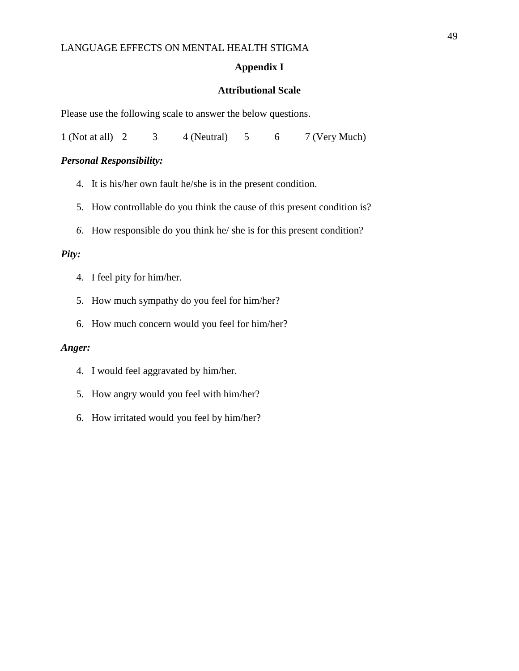### **Appendix I**

#### **Attributional Scale**

Please use the following scale to answer the below questions.

1 (Not at all) 2 3 4 (Neutral) 5 6 7 (Very Much)

#### *Personal Responsibility:*

- 4. It is his/her own fault he/she is in the present condition.
- 5. How controllable do you think the cause of this present condition is?
- *6.* How responsible do you think he/ she is for this present condition?

#### *Pity:*

- 4. I feel pity for him/her.
- 5. How much sympathy do you feel for him/her?
- 6. How much concern would you feel for him/her?

#### *Anger:*

- 4. I would feel aggravated by him/her.
- 5. How angry would you feel with him/her?
- 6. How irritated would you feel by him/her?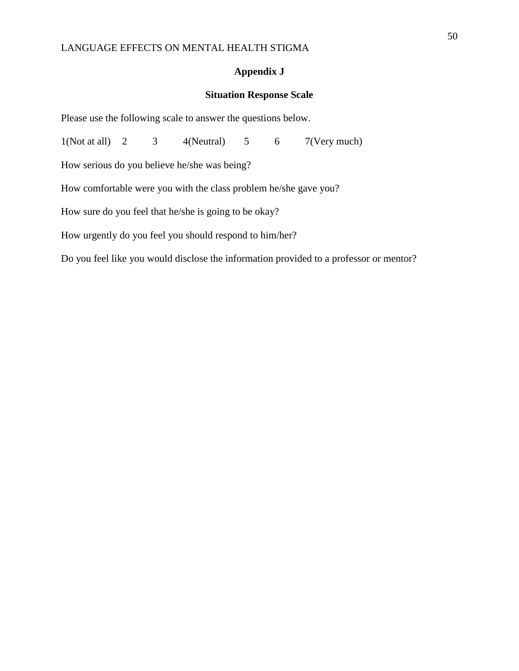### **Appendix J**

### **Situation Response Scale**

Please use the following scale to answer the questions below.

 $1(Not at all)$  2 3  $4(Neutral)$  5 6  $7(Very much)$ How serious do you believe he/she was being? How comfortable were you with the class problem he/she gave you? How sure do you feel that he/she is going to be okay? How urgently do you feel you should respond to him/her? Do you feel like you would disclose the information provided to a professor or mentor?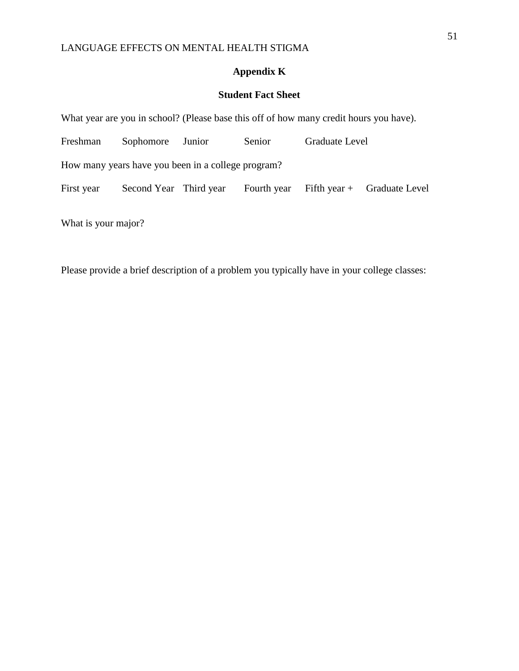## **Appendix K**

## **Student Fact Sheet**

| What year are you in school? (Please base this off of how many credit hours you have). |                                                 |  |             |  |                             |  |  |  |  |
|----------------------------------------------------------------------------------------|-------------------------------------------------|--|-------------|--|-----------------------------|--|--|--|--|
| Freshman                                                                               | Graduate Level<br>Sophomore<br>Senior<br>Junior |  |             |  |                             |  |  |  |  |
| How many years have you been in a college program?                                     |                                                 |  |             |  |                             |  |  |  |  |
| First year                                                                             | Second Year Third year                          |  | Fourth year |  | Fifth year + Graduate Level |  |  |  |  |
|                                                                                        |                                                 |  |             |  |                             |  |  |  |  |

What is your major?

Please provide a brief description of a problem you typically have in your college classes: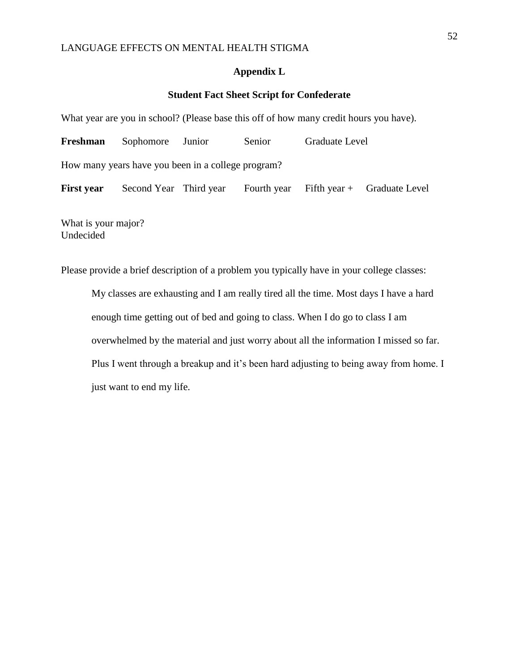#### **Appendix L**

### **Student Fact Sheet Script for Confederate**

What year are you in school? (Please base this off of how many credit hours you have).

| Freshman                                           | Sophomore Junior       |  | Senior | Graduate Level |                                           |  |  |  |  |
|----------------------------------------------------|------------------------|--|--------|----------------|-------------------------------------------|--|--|--|--|
| How many years have you been in a college program? |                        |  |        |                |                                           |  |  |  |  |
| <b>First year</b>                                  | Second Year Third year |  |        |                | Fourth year Fifth year $+$ Graduate Level |  |  |  |  |
|                                                    |                        |  |        |                |                                           |  |  |  |  |

What is your major? Undecided

Please provide a brief description of a problem you typically have in your college classes:

My classes are exhausting and I am really tired all the time. Most days I have a hard enough time getting out of bed and going to class. When I do go to class I am overwhelmed by the material and just worry about all the information I missed so far. Plus I went through a breakup and it's been hard adjusting to being away from home. I just want to end my life.